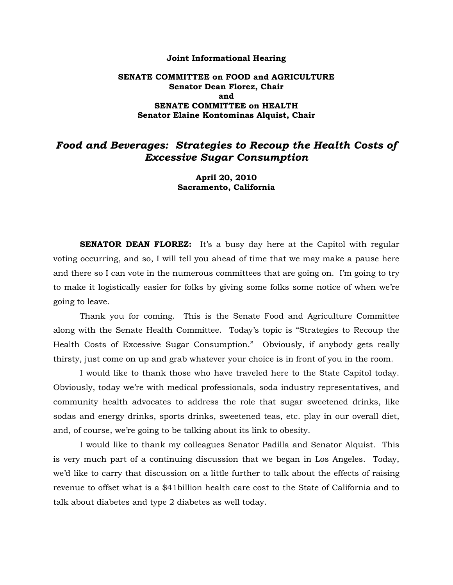#### **Joint Informational Hearing**

## **SENATE COMMITTEE on FOOD and AGRICULTURE Senator Dean Florez, Chair and SENATE COMMITTEE on HEALTH Senator Elaine Kontominas Alquist, Chair**

# *Food and Beverages: Strategies to Recoup the Health Costs of Excessive Sugar Consumption*

**April 20, 2010 Sacramento, California** 

**SENATOR DEAN FLOREZ:** It's a busy day here at the Capitol with regular voting occurring, and so, I will tell you ahead of time that we may make a pause here and there so I can vote in the numerous committees that are going on. I'm going to try to make it logistically easier for folks by giving some folks some notice of when we're going to leave.

Thank you for coming. This is the Senate Food and Agriculture Committee along with the Senate Health Committee. Today's topic is "Strategies to Recoup the Health Costs of Excessive Sugar Consumption." Obviously, if anybody gets really thirsty, just come on up and grab whatever your choice is in front of you in the room.

 I would like to thank those who have traveled here to the State Capitol today. Obviously, today we're with medical professionals, soda industry representatives, and community health advocates to address the role that sugar sweetened drinks, like sodas and energy drinks, sports drinks, sweetened teas, etc. play in our overall diet, and, of course, we're going to be talking about its link to obesity.

 I would like to thank my colleagues Senator Padilla and Senator Alquist. This is very much part of a continuing discussion that we began in Los Angeles. Today, we'd like to carry that discussion on a little further to talk about the effects of raising revenue to offset what is a \$41billion health care cost to the State of California and to talk about diabetes and type 2 diabetes as well today.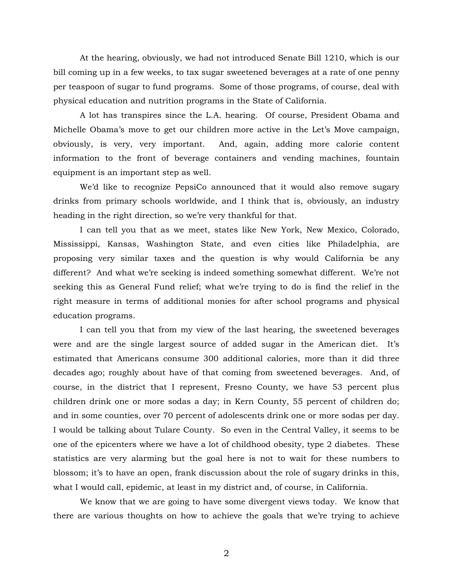At the hearing, obviously, we had not introduced Senate Bill 1210, which is our bill coming up in a few weeks, to tax sugar sweetened beverages at a rate of one penny per teaspoon of sugar to fund programs. Some of those programs, of course, deal with physical education and nutrition programs in the State of California.

 A lot has transpires since the L.A. hearing. Of course, President Obama and Michelle Obama's move to get our children more active in the Let's Move campaign, obviously, is very, very important. And, again, adding more calorie content information to the front of beverage containers and vending machines, fountain equipment is an important step as well.

We'd like to recognize PepsiCo announced that it would also remove sugary drinks from primary schools worldwide, and I think that is, obviously, an industry heading in the right direction, so we're very thankful for that.

 I can tell you that as we meet, states like New York, New Mexico, Colorado, Mississippi, Kansas, Washington State, and even cities like Philadelphia, are proposing very similar taxes and the question is why would California be any different? And what we're seeking is indeed something somewhat different. We're not seeking this as General Fund relief; what we're trying to do is find the relief in the right measure in terms of additional monies for after school programs and physical education programs.

 I can tell you that from my view of the last hearing, the sweetened beverages were and are the single largest source of added sugar in the American diet. It's estimated that Americans consume 300 additional calories, more than it did three decades ago; roughly about have of that coming from sweetened beverages. And, of course, in the district that I represent, Fresno County, we have 53 percent plus children drink one or more sodas a day; in Kern County, 55 percent of children do; and in some counties, over 70 percent of adolescents drink one or more sodas per day. I would be talking about Tulare County. So even in the Central Valley, it seems to be one of the epicenters where we have a lot of childhood obesity, type 2 diabetes. These statistics are very alarming but the goal here is not to wait for these numbers to blossom; it's to have an open, frank discussion about the role of sugary drinks in this, what I would call, epidemic, at least in my district and, of course, in California.

 We know that we are going to have some divergent views today. We know that there are various thoughts on how to achieve the goals that we're trying to achieve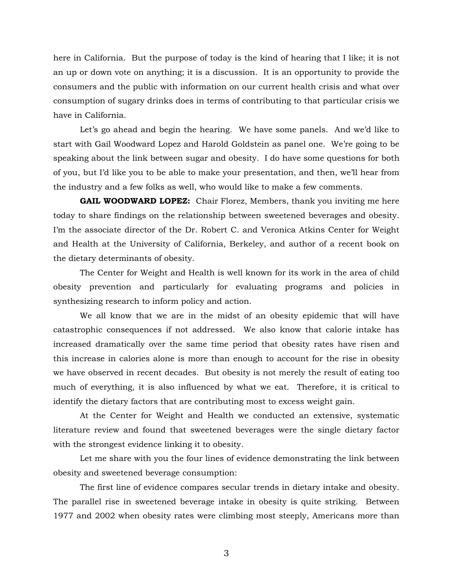here in California. But the purpose of today is the kind of hearing that I like; it is not an up or down vote on anything; it is a discussion. It is an opportunity to provide the consumers and the public with information on our current health crisis and what over consumption of sugary drinks does in terms of contributing to that particular crisis we have in California.

 Let's go ahead and begin the hearing. We have some panels. And we'd like to start with Gail Woodward Lopez and Harold Goldstein as panel one. We're going to be speaking about the link between sugar and obesity. I do have some questions for both of you, but I'd like you to be able to make your presentation, and then, we'll hear from the industry and a few folks as well, who would like to make a few comments.

**GAIL WOODWARD LOPEZ:** Chair Florez, Members, thank you inviting me here today to share findings on the relationship between sweetened beverages and obesity. I'm the associate director of the Dr. Robert C. and Veronica Atkins Center for Weight and Health at the University of California, Berkeley, and author of a recent book on the dietary determinants of obesity.

The Center for Weight and Health is well known for its work in the area of child obesity prevention and particularly for evaluating programs and policies in synthesizing research to inform policy and action.

 We all know that we are in the midst of an obesity epidemic that will have catastrophic consequences if not addressed. We also know that calorie intake has increased dramatically over the same time period that obesity rates have risen and this increase in calories alone is more than enough to account for the rise in obesity we have observed in recent decades. But obesity is not merely the result of eating too much of everything, it is also influenced by what we eat. Therefore, it is critical to identify the dietary factors that are contributing most to excess weight gain.

 At the Center for Weight and Health we conducted an extensive, systematic literature review and found that sweetened beverages were the single dietary factor with the strongest evidence linking it to obesity.

Let me share with you the four lines of evidence demonstrating the link between obesity and sweetened beverage consumption:

 The first line of evidence compares secular trends in dietary intake and obesity. The parallel rise in sweetened beverage intake in obesity is quite striking. Between 1977 and 2002 when obesity rates were climbing most steeply, Americans more than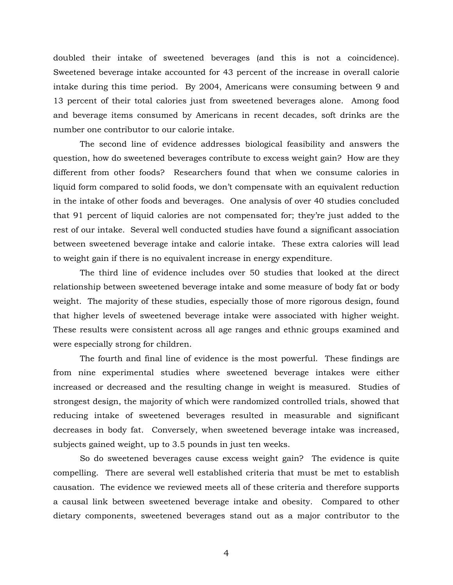doubled their intake of sweetened beverages (and this is not a coincidence). Sweetened beverage intake accounted for 43 percent of the increase in overall calorie intake during this time period. By 2004, Americans were consuming between 9 and 13 percent of their total calories just from sweetened beverages alone. Among food and beverage items consumed by Americans in recent decades, soft drinks are the number one contributor to our calorie intake.

 The second line of evidence addresses biological feasibility and answers the question, how do sweetened beverages contribute to excess weight gain? How are they different from other foods? Researchers found that when we consume calories in liquid form compared to solid foods, we don't compensate with an equivalent reduction in the intake of other foods and beverages. One analysis of over 40 studies concluded that 91 percent of liquid calories are not compensated for; they're just added to the rest of our intake. Several well conducted studies have found a significant association between sweetened beverage intake and calorie intake. These extra calories will lead to weight gain if there is no equivalent increase in energy expenditure.

 The third line of evidence includes over 50 studies that looked at the direct relationship between sweetened beverage intake and some measure of body fat or body weight. The majority of these studies, especially those of more rigorous design, found that higher levels of sweetened beverage intake were associated with higher weight. These results were consistent across all age ranges and ethnic groups examined and were especially strong for children.

 The fourth and final line of evidence is the most powerful. These findings are from nine experimental studies where sweetened beverage intakes were either increased or decreased and the resulting change in weight is measured. Studies of strongest design, the majority of which were randomized controlled trials, showed that reducing intake of sweetened beverages resulted in measurable and significant decreases in body fat. Conversely, when sweetened beverage intake was increased, subjects gained weight, up to 3.5 pounds in just ten weeks.

 So do sweetened beverages cause excess weight gain? The evidence is quite compelling. There are several well established criteria that must be met to establish causation. The evidence we reviewed meets all of these criteria and therefore supports a causal link between sweetened beverage intake and obesity. Compared to other dietary components, sweetened beverages stand out as a major contributor to the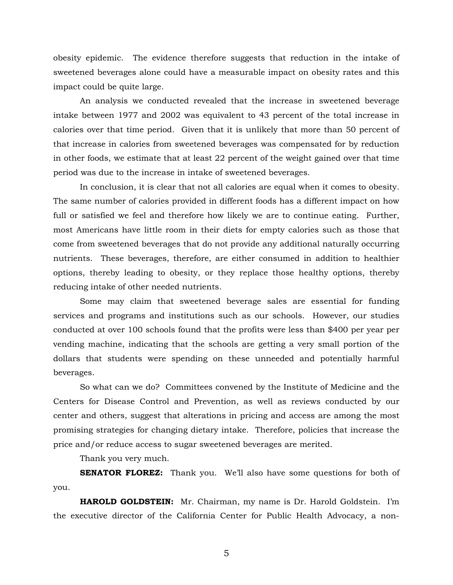obesity epidemic. The evidence therefore suggests that reduction in the intake of sweetened beverages alone could have a measurable impact on obesity rates and this impact could be quite large.

 An analysis we conducted revealed that the increase in sweetened beverage intake between 1977 and 2002 was equivalent to 43 percent of the total increase in calories over that time period. Given that it is unlikely that more than 50 percent of that increase in calories from sweetened beverages was compensated for by reduction in other foods, we estimate that at least 22 percent of the weight gained over that time period was due to the increase in intake of sweetened beverages.

 In conclusion, it is clear that not all calories are equal when it comes to obesity. The same number of calories provided in different foods has a different impact on how full or satisfied we feel and therefore how likely we are to continue eating. Further, most Americans have little room in their diets for empty calories such as those that come from sweetened beverages that do not provide any additional naturally occurring nutrients. These beverages, therefore, are either consumed in addition to healthier options, thereby leading to obesity, or they replace those healthy options, thereby reducing intake of other needed nutrients.

Some may claim that sweetened beverage sales are essential for funding services and programs and institutions such as our schools. However, our studies conducted at over 100 schools found that the profits were less than \$400 per year per vending machine, indicating that the schools are getting a very small portion of the dollars that students were spending on these unneeded and potentially harmful beverages.

 So what can we do? Committees convened by the Institute of Medicine and the Centers for Disease Control and Prevention, as well as reviews conducted by our center and others, suggest that alterations in pricing and access are among the most promising strategies for changing dietary intake. Therefore, policies that increase the price and/or reduce access to sugar sweetened beverages are merited.

Thank you very much.

**SENATOR FLOREZ:** Thank you. We'll also have some questions for both of you.

**HAROLD GOLDSTEIN:** Mr. Chairman, my name is Dr. Harold Goldstein. I'm the executive director of the California Center for Public Health Advocacy, a non-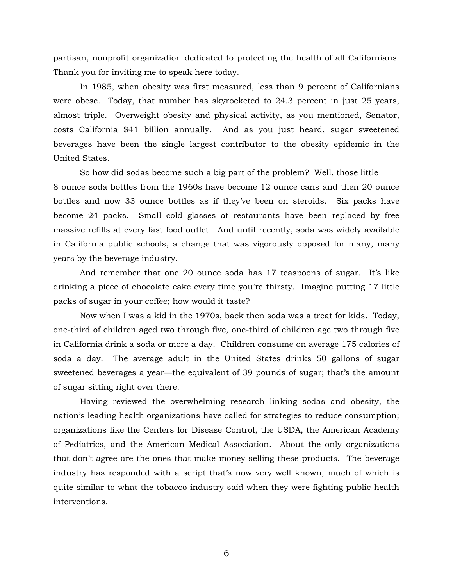partisan, nonprofit organization dedicated to protecting the health of all Californians. Thank you for inviting me to speak here today.

In 1985, when obesity was first measured, less than 9 percent of Californians were obese. Today, that number has skyrocketed to 24.3 percent in just 25 years, almost triple. Overweight obesity and physical activity, as you mentioned, Senator, costs California \$41 billion annually. And as you just heard, sugar sweetened beverages have been the single largest contributor to the obesity epidemic in the United States.

So how did sodas become such a big part of the problem? Well, those little 8 ounce soda bottles from the 1960s have become 12 ounce cans and then 20 ounce bottles and now 33 ounce bottles as if they've been on steroids. Six packs have become 24 packs. Small cold glasses at restaurants have been replaced by free massive refills at every fast food outlet. And until recently, soda was widely available in California public schools, a change that was vigorously opposed for many, many years by the beverage industry.

And remember that one 20 ounce soda has 17 teaspoons of sugar. It's like drinking a piece of chocolate cake every time you're thirsty. Imagine putting 17 little packs of sugar in your coffee; how would it taste?

Now when I was a kid in the 1970s, back then soda was a treat for kids. Today, one-third of children aged two through five, one-third of children age two through five in California drink a soda or more a day. Children consume on average 175 calories of soda a day. The average adult in the United States drinks 50 gallons of sugar sweetened beverages a year—the equivalent of 39 pounds of sugar; that's the amount of sugar sitting right over there.

Having reviewed the overwhelming research linking sodas and obesity, the nation's leading health organizations have called for strategies to reduce consumption; organizations like the Centers for Disease Control, the USDA, the American Academy of Pediatrics, and the American Medical Association. About the only organizations that don't agree are the ones that make money selling these products. The beverage industry has responded with a script that's now very well known, much of which is quite similar to what the tobacco industry said when they were fighting public health interventions.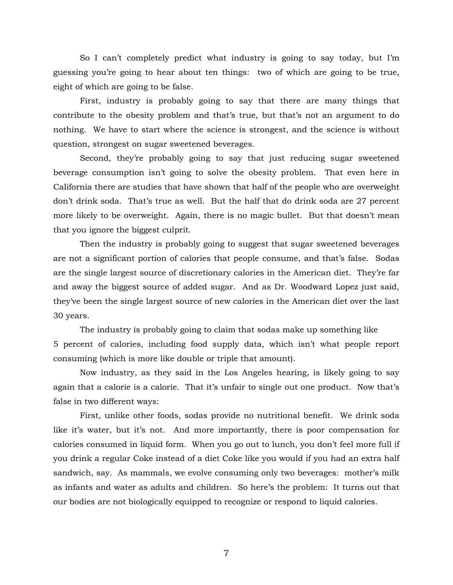So I can't completely predict what industry is going to say today, but I'm guessing you're going to hear about ten things: two of which are going to be true, eight of which are going to be false.

First, industry is probably going to say that there are many things that contribute to the obesity problem and that's true, but that's not an argument to do nothing. We have to start where the science is strongest, and the science is without question, strongest on sugar sweetened beverages.

Second, they're probably going to say that just reducing sugar sweetened beverage consumption isn't going to solve the obesity problem. That even here in California there are studies that have shown that half of the people who are overweight don't drink soda. That's true as well. But the half that do drink soda are 27 percent more likely to be overweight. Again, there is no magic bullet. But that doesn't mean that you ignore the biggest culprit.

Then the industry is probably going to suggest that sugar sweetened beverages are not a significant portion of calories that people consume, and that's false. Sodas are the single largest source of discretionary calories in the American diet. They're far and away the biggest source of added sugar. And as Dr. Woodward Lopez just said, they've been the single largest source of new calories in the American diet over the last 30 years.

The industry is probably going to claim that sodas make up something like 5 percent of calories, including food supply data, which isn't what people report consuming (which is more like double or triple that amount).

Now industry, as they said in the Los Angeles hearing, is likely going to say again that a calorie is a calorie. That it's unfair to single out one product. Now that's false in two different ways:

First, unlike other foods, sodas provide no nutritional benefit. We drink soda like it's water, but it's not. And more importantly, there is poor compensation for calories consumed in liquid form. When you go out to lunch, you don't feel more full if you drink a regular Coke instead of a diet Coke like you would if you had an extra half sandwich, say. As mammals, we evolve consuming only two beverages: mother's milk as infants and water as adults and children. So here's the problem: It turns out that our bodies are not biologically equipped to recognize or respond to liquid calories.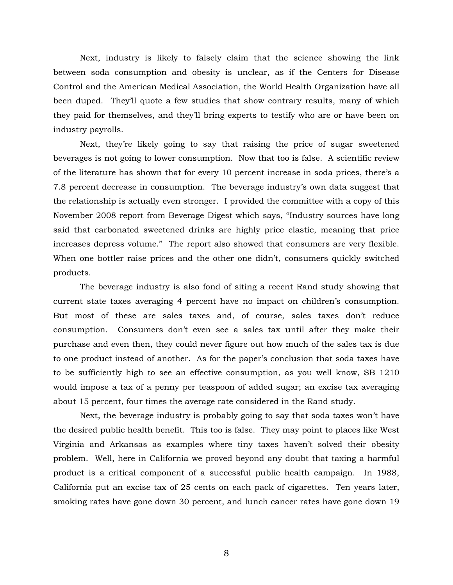Next, industry is likely to falsely claim that the science showing the link between soda consumption and obesity is unclear, as if the Centers for Disease Control and the American Medical Association, the World Health Organization have all been duped. They'll quote a few studies that show contrary results, many of which they paid for themselves, and they'll bring experts to testify who are or have been on industry payrolls.

Next, they're likely going to say that raising the price of sugar sweetened beverages is not going to lower consumption. Now that too is false. A scientific review of the literature has shown that for every 10 percent increase in soda prices, there's a 7.8 percent decrease in consumption. The beverage industry's own data suggest that the relationship is actually even stronger. I provided the committee with a copy of this November 2008 report from Beverage Digest which says, "Industry sources have long said that carbonated sweetened drinks are highly price elastic, meaning that price increases depress volume." The report also showed that consumers are very flexible. When one bottler raise prices and the other one didn't, consumers quickly switched products.

The beverage industry is also fond of siting a recent Rand study showing that current state taxes averaging 4 percent have no impact on children's consumption. But most of these are sales taxes and, of course, sales taxes don't reduce consumption. Consumers don't even see a sales tax until after they make their purchase and even then, they could never figure out how much of the sales tax is due to one product instead of another. As for the paper's conclusion that soda taxes have to be sufficiently high to see an effective consumption, as you well know, SB 1210 would impose a tax of a penny per teaspoon of added sugar; an excise tax averaging about 15 percent, four times the average rate considered in the Rand study.

Next, the beverage industry is probably going to say that soda taxes won't have the desired public health benefit. This too is false. They may point to places like West Virginia and Arkansas as examples where tiny taxes haven't solved their obesity problem. Well, here in California we proved beyond any doubt that taxing a harmful product is a critical component of a successful public health campaign. In 1988, California put an excise tax of 25 cents on each pack of cigarettes. Ten years later, smoking rates have gone down 30 percent, and lunch cancer rates have gone down 19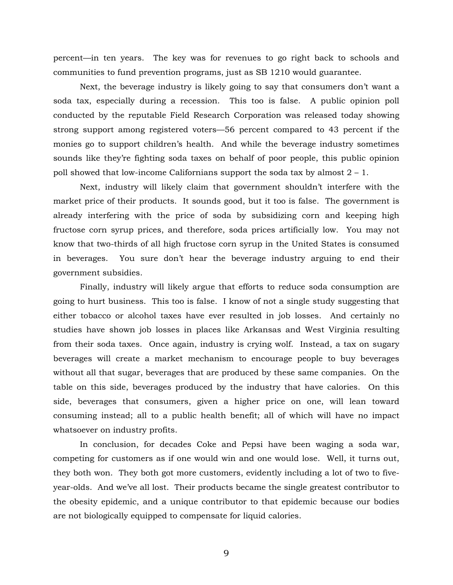percent—in ten years. The key was for revenues to go right back to schools and communities to fund prevention programs, just as SB 1210 would guarantee.

Next, the beverage industry is likely going to say that consumers don't want a soda tax, especially during a recession. This too is false. A public opinion poll conducted by the reputable Field Research Corporation was released today showing strong support among registered voters—56 percent compared to 43 percent if the monies go to support children's health. And while the beverage industry sometimes sounds like they're fighting soda taxes on behalf of poor people, this public opinion poll showed that low-income Californians support the soda tax by almost  $2 - 1$ .

Next, industry will likely claim that government shouldn't interfere with the market price of their products. It sounds good, but it too is false. The government is already interfering with the price of soda by subsidizing corn and keeping high fructose corn syrup prices, and therefore, soda prices artificially low. You may not know that two-thirds of all high fructose corn syrup in the United States is consumed in beverages. You sure don't hear the beverage industry arguing to end their government subsidies.

Finally, industry will likely argue that efforts to reduce soda consumption are going to hurt business. This too is false. I know of not a single study suggesting that either tobacco or alcohol taxes have ever resulted in job losses. And certainly no studies have shown job losses in places like Arkansas and West Virginia resulting from their soda taxes. Once again, industry is crying wolf. Instead, a tax on sugary beverages will create a market mechanism to encourage people to buy beverages without all that sugar, beverages that are produced by these same companies. On the table on this side, beverages produced by the industry that have calories. On this side, beverages that consumers, given a higher price on one, will lean toward consuming instead; all to a public health benefit; all of which will have no impact whatsoever on industry profits.

In conclusion, for decades Coke and Pepsi have been waging a soda war, competing for customers as if one would win and one would lose. Well, it turns out, they both won. They both got more customers, evidently including a lot of two to fiveyear-olds. And we've all lost. Their products became the single greatest contributor to the obesity epidemic, and a unique contributor to that epidemic because our bodies are not biologically equipped to compensate for liquid calories.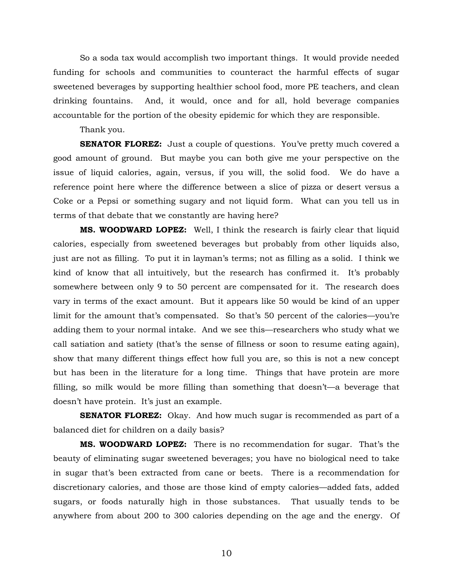So a soda tax would accomplish two important things. It would provide needed funding for schools and communities to counteract the harmful effects of sugar sweetened beverages by supporting healthier school food, more PE teachers, and clean drinking fountains. And, it would, once and for all, hold beverage companies accountable for the portion of the obesity epidemic for which they are responsible.

Thank you.

**SENATOR FLOREZ:** Just a couple of questions. You've pretty much covered a good amount of ground. But maybe you can both give me your perspective on the issue of liquid calories, again, versus, if you will, the solid food. We do have a reference point here where the difference between a slice of pizza or desert versus a Coke or a Pepsi or something sugary and not liquid form. What can you tell us in terms of that debate that we constantly are having here?

 **MS. WOODWARD LOPEZ:** Well, I think the research is fairly clear that liquid calories, especially from sweetened beverages but probably from other liquids also, just are not as filling. To put it in layman's terms; not as filling as a solid. I think we kind of know that all intuitively, but the research has confirmed it. It's probably somewhere between only 9 to 50 percent are compensated for it. The research does vary in terms of the exact amount. But it appears like 50 would be kind of an upper limit for the amount that's compensated. So that's 50 percent of the calories—you're adding them to your normal intake. And we see this—researchers who study what we call satiation and satiety (that's the sense of fillness or soon to resume eating again), show that many different things effect how full you are, so this is not a new concept but has been in the literature for a long time. Things that have protein are more filling, so milk would be more filling than something that doesn't—a beverage that doesn't have protein. It's just an example.

**SENATOR FLOREZ:** Okay. And how much sugar is recommended as part of a balanced diet for children on a daily basis?

**MS. WOODWARD LOPEZ:** There is no recommendation for sugar. That's the beauty of eliminating sugar sweetened beverages; you have no biological need to take in sugar that's been extracted from cane or beets. There is a recommendation for discretionary calories, and those are those kind of empty calories—added fats, added sugars, or foods naturally high in those substances. That usually tends to be anywhere from about 200 to 300 calories depending on the age and the energy. Of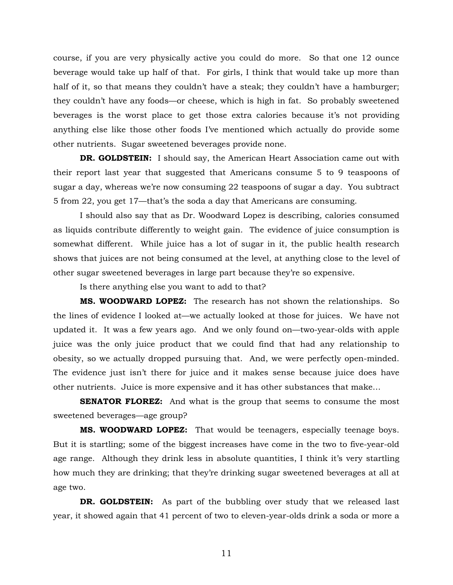course, if you are very physically active you could do more. So that one 12 ounce beverage would take up half of that. For girls, I think that would take up more than half of it, so that means they couldn't have a steak; they couldn't have a hamburger; they couldn't have any foods—or cheese, which is high in fat. So probably sweetened beverages is the worst place to get those extra calories because it's not providing anything else like those other foods I've mentioned which actually do provide some other nutrients. Sugar sweetened beverages provide none.

**DR. GOLDSTEIN:** I should say, the American Heart Association came out with their report last year that suggested that Americans consume 5 to 9 teaspoons of sugar a day, whereas we're now consuming 22 teaspoons of sugar a day. You subtract 5 from 22, you get 17—that's the soda a day that Americans are consuming.

 I should also say that as Dr. Woodward Lopez is describing, calories consumed as liquids contribute differently to weight gain. The evidence of juice consumption is somewhat different. While juice has a lot of sugar in it, the public health research shows that juices are not being consumed at the level, at anything close to the level of other sugar sweetened beverages in large part because they're so expensive.

Is there anything else you want to add to that?

 **MS. WOODWARD LOPEZ:** The research has not shown the relationships. So the lines of evidence I looked at—we actually looked at those for juices. We have not updated it. It was a few years ago. And we only found on—two-year-olds with apple juice was the only juice product that we could find that had any relationship to obesity, so we actually dropped pursuing that. And, we were perfectly open-minded. The evidence just isn't there for juice and it makes sense because juice does have other nutrients. Juice is more expensive and it has other substances that make…

**SENATOR FLOREZ:** And what is the group that seems to consume the most sweetened beverages—age group?

**MS. WOODWARD LOPEZ:** That would be teenagers, especially teenage boys. But it is startling; some of the biggest increases have come in the two to five-year-old age range. Although they drink less in absolute quantities, I think it's very startling how much they are drinking; that they're drinking sugar sweetened beverages at all at age two.

**DR. GOLDSTEIN:** As part of the bubbling over study that we released last year, it showed again that 41 percent of two to eleven-year-olds drink a soda or more a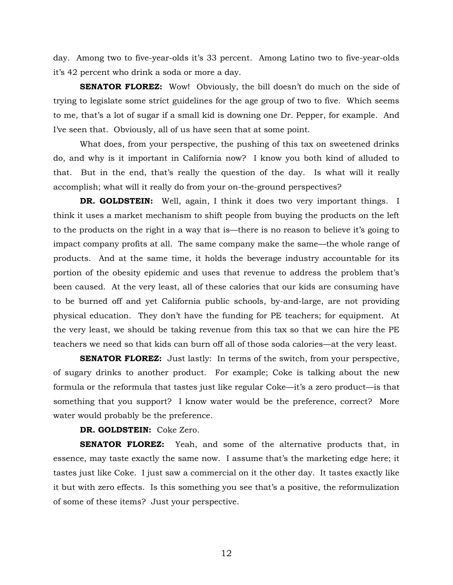day. Among two to five-year-olds it's 33 percent. Among Latino two to five-year-olds it's 42 percent who drink a soda or more a day.

**SENATOR FLOREZ:** Wow! Obviously, the bill doesn't do much on the side of trying to legislate some strict guidelines for the age group of two to five. Which seems to me, that's a lot of sugar if a small kid is downing one Dr. Pepper, for example. And I've seen that. Obviously, all of us have seen that at some point.

 What does, from your perspective, the pushing of this tax on sweetened drinks do, and why is it important in California now? I know you both kind of alluded to that. But in the end, that's really the question of the day. Is what will it really accomplish; what will it really do from your on-the-ground perspectives?

**DR. GOLDSTEIN:** Well, again, I think it does two very important things. I think it uses a market mechanism to shift people from buying the products on the left to the products on the right in a way that is—there is no reason to believe it's going to impact company profits at all. The same company make the same—the whole range of products. And at the same time, it holds the beverage industry accountable for its portion of the obesity epidemic and uses that revenue to address the problem that's been caused. At the very least, all of these calories that our kids are consuming have to be burned off and yet California public schools, by-and-large, are not providing physical education. They don't have the funding for PE teachers; for equipment. At the very least, we should be taking revenue from this tax so that we can hire the PE teachers we need so that kids can burn off all of those soda calories—at the very least.

**SENATOR FLOREZ:** Just lastly: In terms of the switch, from your perspective, of sugary drinks to another product. For example; Coke is talking about the new formula or the reformula that tastes just like regular Coke—it's a zero product—is that something that you support? I know water would be the preference, correct? More water would probably be the preference.

#### **DR. GOLDSTEIN:** Coke Zero.

**SENATOR FLOREZ:** Yeah, and some of the alternative products that, in essence, may taste exactly the same now. I assume that's the marketing edge here; it tastes just like Coke. I just saw a commercial on it the other day. It tastes exactly like it but with zero effects. Is this something you see that's a positive, the reformulization of some of these items? Just your perspective.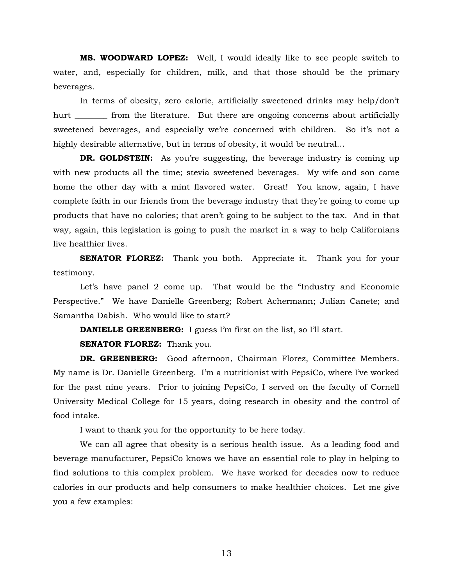**MS. WOODWARD LOPEZ:** Well, I would ideally like to see people switch to water, and, especially for children, milk, and that those should be the primary beverages.

 In terms of obesity, zero calorie, artificially sweetened drinks may help/don't hurt from the literature. But there are ongoing concerns about artificially sweetened beverages, and especially we're concerned with children. So it's not a highly desirable alternative, but in terms of obesity, it would be neutral…

**DR. GOLDSTEIN:** As you're suggesting, the beverage industry is coming up with new products all the time; stevia sweetened beverages. My wife and son came home the other day with a mint flavored water. Great! You know, again, I have complete faith in our friends from the beverage industry that they're going to come up products that have no calories; that aren't going to be subject to the tax. And in that way, again, this legislation is going to push the market in a way to help Californians live healthier lives.

**SENATOR FLOREZ:** Thank you both. Appreciate it. Thank you for your testimony.

 Let's have panel 2 come up. That would be the "Industry and Economic Perspective." We have Danielle Greenberg; Robert Achermann; Julian Canete; and Samantha Dabish. Who would like to start?

**DANIELLE GREENBERG:** I guess I'm first on the list, so I'll start.

**SENATOR FLOREZ:** Thank you.

**DR. GREENBERG:** Good afternoon, Chairman Florez, Committee Members. My name is Dr. Danielle Greenberg. I'm a nutritionist with PepsiCo, where I've worked for the past nine years. Prior to joining PepsiCo, I served on the faculty of Cornell University Medical College for 15 years, doing research in obesity and the control of food intake.

I want to thank you for the opportunity to be here today.

We can all agree that obesity is a serious health issue. As a leading food and beverage manufacturer, PepsiCo knows we have an essential role to play in helping to find solutions to this complex problem. We have worked for decades now to reduce calories in our products and help consumers to make healthier choices. Let me give you a few examples: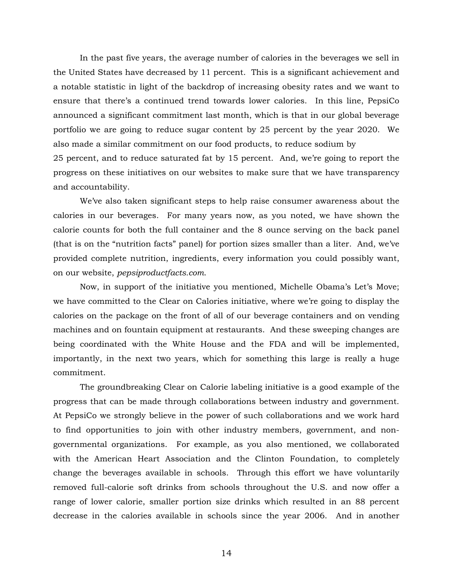In the past five years, the average number of calories in the beverages we sell in the United States have decreased by 11 percent. This is a significant achievement and a notable statistic in light of the backdrop of increasing obesity rates and we want to ensure that there's a continued trend towards lower calories. In this line, PepsiCo announced a significant commitment last month, which is that in our global beverage portfolio we are going to reduce sugar content by 25 percent by the year 2020. We also made a similar commitment on our food products, to reduce sodium by 25 percent, and to reduce saturated fat by 15 percent. And, we're going to report the progress on these initiatives on our websites to make sure that we have transparency

We've also taken significant steps to help raise consumer awareness about the calories in our beverages. For many years now, as you noted, we have shown the calorie counts for both the full container and the 8 ounce serving on the back panel (that is on the "nutrition facts" panel) for portion sizes smaller than a liter. And, we've provided complete nutrition, ingredients, every information you could possibly want, on our website, *pepsiproductfacts.com*.

and accountability.

Now, in support of the initiative you mentioned, Michelle Obama's Let's Move; we have committed to the Clear on Calories initiative, where we're going to display the calories on the package on the front of all of our beverage containers and on vending machines and on fountain equipment at restaurants. And these sweeping changes are being coordinated with the White House and the FDA and will be implemented, importantly, in the next two years, which for something this large is really a huge commitment.

The groundbreaking Clear on Calorie labeling initiative is a good example of the progress that can be made through collaborations between industry and government. At PepsiCo we strongly believe in the power of such collaborations and we work hard to find opportunities to join with other industry members, government, and nongovernmental organizations. For example, as you also mentioned, we collaborated with the American Heart Association and the Clinton Foundation, to completely change the beverages available in schools. Through this effort we have voluntarily removed full-calorie soft drinks from schools throughout the U.S. and now offer a range of lower calorie, smaller portion size drinks which resulted in an 88 percent decrease in the calories available in schools since the year 2006. And in another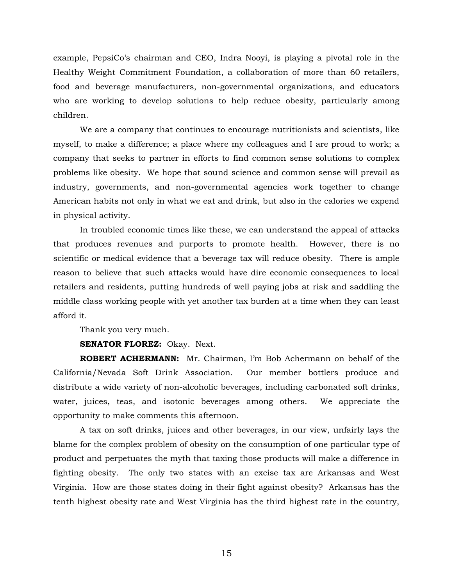example, PepsiCo's chairman and CEO, Indra Nooyi, is playing a pivotal role in the Healthy Weight Commitment Foundation, a collaboration of more than 60 retailers, food and beverage manufacturers, non-governmental organizations, and educators who are working to develop solutions to help reduce obesity, particularly among children.

We are a company that continues to encourage nutritionists and scientists, like myself, to make a difference; a place where my colleagues and I are proud to work; a company that seeks to partner in efforts to find common sense solutions to complex problems like obesity. We hope that sound science and common sense will prevail as industry, governments, and non-governmental agencies work together to change American habits not only in what we eat and drink, but also in the calories we expend in physical activity.

In troubled economic times like these, we can understand the appeal of attacks that produces revenues and purports to promote health. However, there is no scientific or medical evidence that a beverage tax will reduce obesity. There is ample reason to believe that such attacks would have dire economic consequences to local retailers and residents, putting hundreds of well paying jobs at risk and saddling the middle class working people with yet another tax burden at a time when they can least afford it.

Thank you very much.

#### **SENATOR FLOREZ:** Okay. Next.

**ROBERT ACHERMANN:** Mr. Chairman, I'm Bob Achermann on behalf of the California/Nevada Soft Drink Association. Our member bottlers produce and distribute a wide variety of non-alcoholic beverages, including carbonated soft drinks, water, juices, teas, and isotonic beverages among others. We appreciate the opportunity to make comments this afternoon.

A tax on soft drinks, juices and other beverages, in our view, unfairly lays the blame for the complex problem of obesity on the consumption of one particular type of product and perpetuates the myth that taxing those products will make a difference in fighting obesity. The only two states with an excise tax are Arkansas and West Virginia. How are those states doing in their fight against obesity? Arkansas has the tenth highest obesity rate and West Virginia has the third highest rate in the country,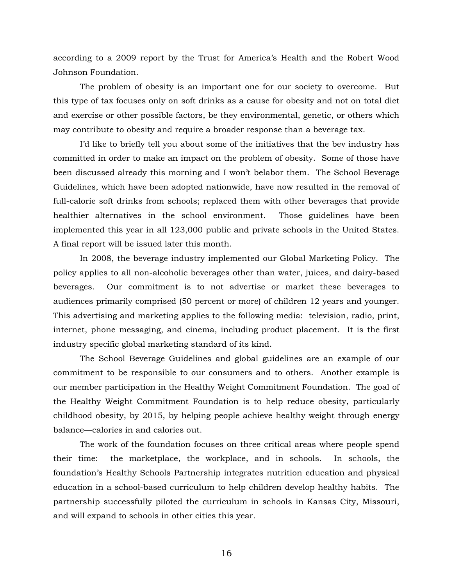according to a 2009 report by the Trust for America's Health and the Robert Wood Johnson Foundation.

The problem of obesity is an important one for our society to overcome. But this type of tax focuses only on soft drinks as a cause for obesity and not on total diet and exercise or other possible factors, be they environmental, genetic, or others which may contribute to obesity and require a broader response than a beverage tax.

I'd like to briefly tell you about some of the initiatives that the bev industry has committed in order to make an impact on the problem of obesity. Some of those have been discussed already this morning and I won't belabor them. The School Beverage Guidelines, which have been adopted nationwide, have now resulted in the removal of full-calorie soft drinks from schools; replaced them with other beverages that provide healthier alternatives in the school environment. Those guidelines have been implemented this year in all 123,000 public and private schools in the United States. A final report will be issued later this month.

In 2008, the beverage industry implemented our Global Marketing Policy. The policy applies to all non-alcoholic beverages other than water, juices, and dairy-based beverages. Our commitment is to not advertise or market these beverages to audiences primarily comprised (50 percent or more) of children 12 years and younger. This advertising and marketing applies to the following media: television, radio, print, internet, phone messaging, and cinema, including product placement. It is the first industry specific global marketing standard of its kind.

The School Beverage Guidelines and global guidelines are an example of our commitment to be responsible to our consumers and to others. Another example is our member participation in the Healthy Weight Commitment Foundation. The goal of the Healthy Weight Commitment Foundation is to help reduce obesity, particularly childhood obesity, by 2015, by helping people achieve healthy weight through energy balance—calories in and calories out.

The work of the foundation focuses on three critical areas where people spend their time: the marketplace, the workplace, and in schools. In schools, the foundation's Healthy Schools Partnership integrates nutrition education and physical education in a school-based curriculum to help children develop healthy habits. The partnership successfully piloted the curriculum in schools in Kansas City, Missouri, and will expand to schools in other cities this year.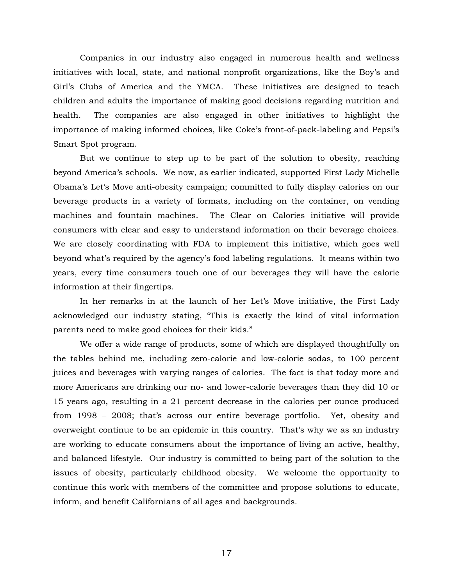Companies in our industry also engaged in numerous health and wellness initiatives with local, state, and national nonprofit organizations, like the Boy's and Girl's Clubs of America and the YMCA. These initiatives are designed to teach children and adults the importance of making good decisions regarding nutrition and health. The companies are also engaged in other initiatives to highlight the importance of making informed choices, like Coke's front-of-pack-labeling and Pepsi's Smart Spot program.

But we continue to step up to be part of the solution to obesity, reaching beyond America's schools. We now, as earlier indicated, supported First Lady Michelle Obama's Let's Move anti-obesity campaign; committed to fully display calories on our beverage products in a variety of formats, including on the container, on vending machines and fountain machines. The Clear on Calories initiative will provide consumers with clear and easy to understand information on their beverage choices. We are closely coordinating with FDA to implement this initiative, which goes well beyond what's required by the agency's food labeling regulations. It means within two years, every time consumers touch one of our beverages they will have the calorie information at their fingertips.

In her remarks in at the launch of her Let's Move initiative, the First Lady acknowledged our industry stating, "This is exactly the kind of vital information parents need to make good choices for their kids."

We offer a wide range of products, some of which are displayed thoughtfully on the tables behind me, including zero-calorie and low-calorie sodas, to 100 percent juices and beverages with varying ranges of calories. The fact is that today more and more Americans are drinking our no- and lower-calorie beverages than they did 10 or 15 years ago, resulting in a 21 percent decrease in the calories per ounce produced from 1998 – 2008; that's across our entire beverage portfolio. Yet, obesity and overweight continue to be an epidemic in this country. That's why we as an industry are working to educate consumers about the importance of living an active, healthy, and balanced lifestyle. Our industry is committed to being part of the solution to the issues of obesity, particularly childhood obesity. We welcome the opportunity to continue this work with members of the committee and propose solutions to educate, inform, and benefit Californians of all ages and backgrounds.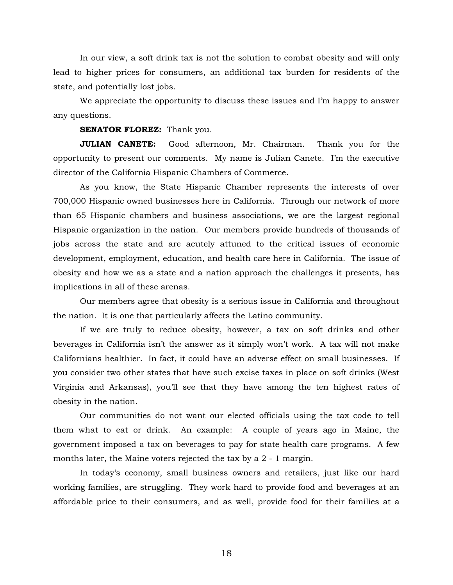In our view, a soft drink tax is not the solution to combat obesity and will only lead to higher prices for consumers, an additional tax burden for residents of the state, and potentially lost jobs.

We appreciate the opportunity to discuss these issues and I'm happy to answer any questions.

### **SENATOR FLOREZ:** Thank you.

**JULIAN CANETE:** Good afternoon, Mr. Chairman. Thank you for the opportunity to present our comments. My name is Julian Canete. I'm the executive director of the California Hispanic Chambers of Commerce.

As you know, the State Hispanic Chamber represents the interests of over 700,000 Hispanic owned businesses here in California. Through our network of more than 65 Hispanic chambers and business associations, we are the largest regional Hispanic organization in the nation. Our members provide hundreds of thousands of jobs across the state and are acutely attuned to the critical issues of economic development, employment, education, and health care here in California. The issue of obesity and how we as a state and a nation approach the challenges it presents, has implications in all of these arenas.

Our members agree that obesity is a serious issue in California and throughout the nation. It is one that particularly affects the Latino community.

If we are truly to reduce obesity, however, a tax on soft drinks and other beverages in California isn't the answer as it simply won't work. A tax will not make Californians healthier. In fact, it could have an adverse effect on small businesses. If you consider two other states that have such excise taxes in place on soft drinks (West Virginia and Arkansas), you'll see that they have among the ten highest rates of obesity in the nation.

Our communities do not want our elected officials using the tax code to tell them what to eat or drink. An example: A couple of years ago in Maine, the government imposed a tax on beverages to pay for state health care programs. A few months later, the Maine voters rejected the tax by a 2 - 1 margin.

In today's economy, small business owners and retailers, just like our hard working families, are struggling. They work hard to provide food and beverages at an affordable price to their consumers, and as well, provide food for their families at a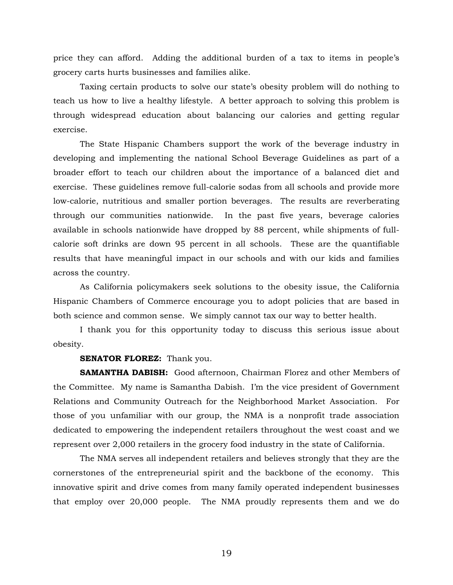price they can afford. Adding the additional burden of a tax to items in people's grocery carts hurts businesses and families alike.

Taxing certain products to solve our state's obesity problem will do nothing to teach us how to live a healthy lifestyle. A better approach to solving this problem is through widespread education about balancing our calories and getting regular exercise.

The State Hispanic Chambers support the work of the beverage industry in developing and implementing the national School Beverage Guidelines as part of a broader effort to teach our children about the importance of a balanced diet and exercise. These guidelines remove full-calorie sodas from all schools and provide more low-calorie, nutritious and smaller portion beverages. The results are reverberating through our communities nationwide. In the past five years, beverage calories available in schools nationwide have dropped by 88 percent, while shipments of fullcalorie soft drinks are down 95 percent in all schools. These are the quantifiable results that have meaningful impact in our schools and with our kids and families across the country.

As California policymakers seek solutions to the obesity issue, the California Hispanic Chambers of Commerce encourage you to adopt policies that are based in both science and common sense. We simply cannot tax our way to better health.

 I thank you for this opportunity today to discuss this serious issue about obesity.

#### **SENATOR FLOREZ:** Thank you.

 **SAMANTHA DABISH:** Good afternoon, Chairman Florez and other Members of the Committee. My name is Samantha Dabish. I'm the vice president of Government Relations and Community Outreach for the Neighborhood Market Association. For those of you unfamiliar with our group, the NMA is a nonprofit trade association dedicated to empowering the independent retailers throughout the west coast and we represent over 2,000 retailers in the grocery food industry in the state of California.

 The NMA serves all independent retailers and believes strongly that they are the cornerstones of the entrepreneurial spirit and the backbone of the economy. This innovative spirit and drive comes from many family operated independent businesses that employ over 20,000 people. The NMA proudly represents them and we do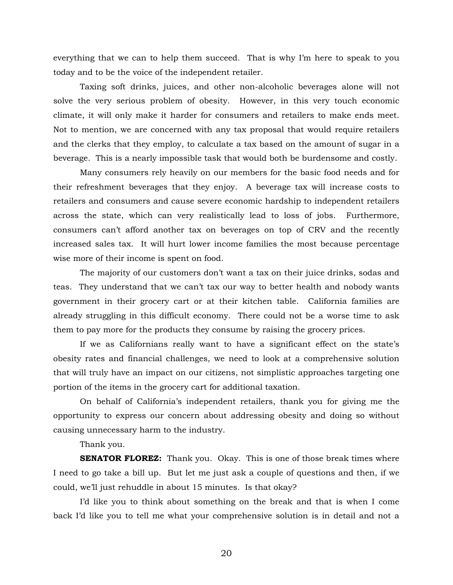everything that we can to help them succeed. That is why I'm here to speak to you today and to be the voice of the independent retailer.

 Taxing soft drinks, juices, and other non-alcoholic beverages alone will not solve the very serious problem of obesity. However, in this very touch economic climate, it will only make it harder for consumers and retailers to make ends meet. Not to mention, we are concerned with any tax proposal that would require retailers and the clerks that they employ, to calculate a tax based on the amount of sugar in a beverage. This is a nearly impossible task that would both be burdensome and costly.

 Many consumers rely heavily on our members for the basic food needs and for their refreshment beverages that they enjoy. A beverage tax will increase costs to retailers and consumers and cause severe economic hardship to independent retailers across the state, which can very realistically lead to loss of jobs. Furthermore, consumers can't afford another tax on beverages on top of CRV and the recently increased sales tax. It will hurt lower income families the most because percentage wise more of their income is spent on food.

 The majority of our customers don't want a tax on their juice drinks, sodas and teas. They understand that we can't tax our way to better health and nobody wants government in their grocery cart or at their kitchen table. California families are already struggling in this difficult economy. There could not be a worse time to ask them to pay more for the products they consume by raising the grocery prices.

 If we as Californians really want to have a significant effect on the state's obesity rates and financial challenges, we need to look at a comprehensive solution that will truly have an impact on our citizens, not simplistic approaches targeting one portion of the items in the grocery cart for additional taxation.

 On behalf of California's independent retailers, thank you for giving me the opportunity to express our concern about addressing obesity and doing so without causing unnecessary harm to the industry.

Thank you.

**SENATOR FLOREZ:** Thank you. Okay. This is one of those break times where I need to go take a bill up. But let me just ask a couple of questions and then, if we could, we'll just rehuddle in about 15 minutes. Is that okay?

 I'd like you to think about something on the break and that is when I come back I'd like you to tell me what your comprehensive solution is in detail and not a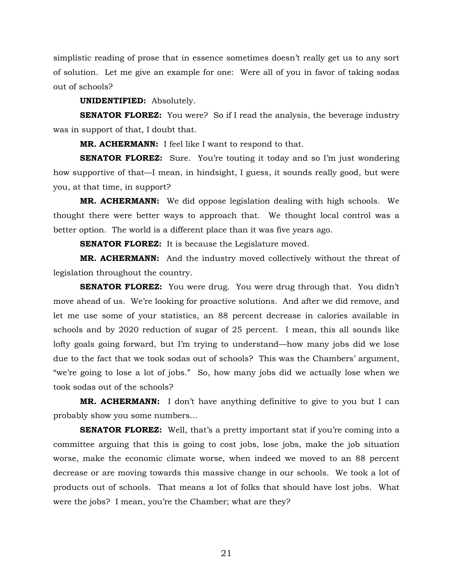simplistic reading of prose that in essence sometimes doesn't really get us to any sort of solution. Let me give an example for one: Were all of you in favor of taking sodas out of schools?

#### **UNIDENTIFIED:** Absolutely.

**SENATOR FLOREZ:** You were? So if I read the analysis, the beverage industry was in support of that, I doubt that.

**MR. ACHERMANN:** I feel like I want to respond to that.

**SENATOR FLOREZ:** Sure. You're touting it today and so I'm just wondering how supportive of that—I mean, in hindsight, I guess, it sounds really good, but were you, at that time, in support?

**MR. ACHERMANN:** We did oppose legislation dealing with high schools. We thought there were better ways to approach that. We thought local control was a better option. The world is a different place than it was five years ago.

**SENATOR FLOREZ:** It is because the Legislature moved.

**MR. ACHERMANN:** And the industry moved collectively without the threat of legislation throughout the country.

**SENATOR FLOREZ:** You were drug. You were drug through that. You didn't move ahead of us. We're looking for proactive solutions. And after we did remove, and let me use some of your statistics, an 88 percent decrease in calories available in schools and by 2020 reduction of sugar of 25 percent. I mean, this all sounds like lofty goals going forward, but I'm trying to understand—how many jobs did we lose due to the fact that we took sodas out of schools? This was the Chambers' argument, "we're going to lose a lot of jobs." So, how many jobs did we actually lose when we took sodas out of the schools?

**MR. ACHERMANN:** I don't have anything definitive to give to you but I can probably show you some numbers…

**SENATOR FLOREZ:** Well, that's a pretty important stat if you're coming into a committee arguing that this is going to cost jobs, lose jobs, make the job situation worse, make the economic climate worse, when indeed we moved to an 88 percent decrease or are moving towards this massive change in our schools. We took a lot of products out of schools. That means a lot of folks that should have lost jobs. What were the jobs? I mean, you're the Chamber; what are they?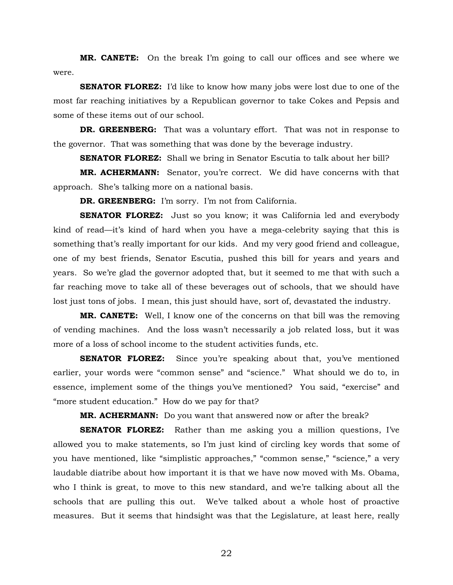**MR. CANETE:** On the break I'm going to call our offices and see where we were.

**SENATOR FLOREZ:** I'd like to know how many jobs were lost due to one of the most far reaching initiatives by a Republican governor to take Cokes and Pepsis and some of these items out of our school.

**DR. GREENBERG:** That was a voluntary effort. That was not in response to the governor. That was something that was done by the beverage industry.

**SENATOR FLOREZ:** Shall we bring in Senator Escutia to talk about her bill?

**MR. ACHERMANN:** Senator, you're correct. We did have concerns with that approach. She's talking more on a national basis.

**DR. GREENBERG:** I'm sorry. I'm not from California.

**SENATOR FLOREZ:** Just so you know; it was California led and everybody kind of read—it's kind of hard when you have a mega-celebrity saying that this is something that's really important for our kids. And my very good friend and colleague, one of my best friends, Senator Escutia, pushed this bill for years and years and years. So we're glad the governor adopted that, but it seemed to me that with such a far reaching move to take all of these beverages out of schools, that we should have lost just tons of jobs. I mean, this just should have, sort of, devastated the industry.

**MR. CANETE:** Well, I know one of the concerns on that bill was the removing of vending machines. And the loss wasn't necessarily a job related loss, but it was more of a loss of school income to the student activities funds, etc.

**SENATOR FLOREZ:** Since you're speaking about that, you've mentioned earlier, your words were "common sense" and "science." What should we do to, in essence, implement some of the things you've mentioned? You said, "exercise" and "more student education." How do we pay for that?

**MR. ACHERMANN:** Do you want that answered now or after the break?

**SENATOR FLOREZ:** Rather than me asking you a million questions, I've allowed you to make statements, so I'm just kind of circling key words that some of you have mentioned, like "simplistic approaches," "common sense," "science," a very laudable diatribe about how important it is that we have now moved with Ms. Obama, who I think is great, to move to this new standard, and we're talking about all the schools that are pulling this out. We've talked about a whole host of proactive measures. But it seems that hindsight was that the Legislature, at least here, really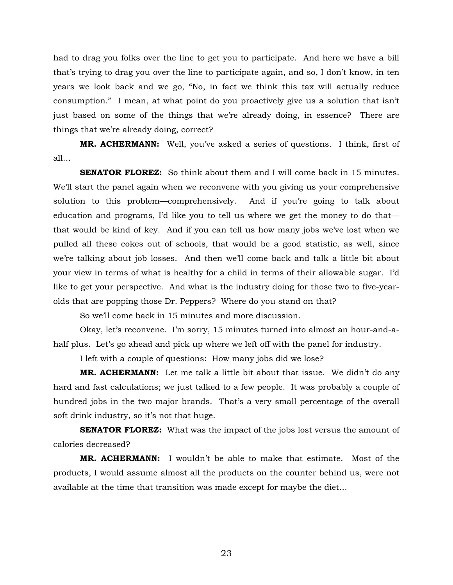had to drag you folks over the line to get you to participate. And here we have a bill that's trying to drag you over the line to participate again, and so, I don't know, in ten years we look back and we go, "No, in fact we think this tax will actually reduce consumption." I mean, at what point do you proactively give us a solution that isn't just based on some of the things that we're already doing, in essence? There are things that we're already doing, correct?

**MR. ACHERMANN:** Well, you've asked a series of questions. I think, first of all…

**SENATOR FLOREZ:** So think about them and I will come back in 15 minutes. We'll start the panel again when we reconvene with you giving us your comprehensive solution to this problem—comprehensively. And if you're going to talk about education and programs, I'd like you to tell us where we get the money to do that that would be kind of key. And if you can tell us how many jobs we've lost when we pulled all these cokes out of schools, that would be a good statistic, as well, since we're talking about job losses. And then we'll come back and talk a little bit about your view in terms of what is healthy for a child in terms of their allowable sugar. I'd like to get your perspective. And what is the industry doing for those two to five-yearolds that are popping those Dr. Peppers? Where do you stand on that?

So we'll come back in 15 minutes and more discussion.

 Okay, let's reconvene. I'm sorry, 15 minutes turned into almost an hour-and-ahalf plus. Let's go ahead and pick up where we left off with the panel for industry.

I left with a couple of questions: How many jobs did we lose?

**MR. ACHERMANN:** Let me talk a little bit about that issue. We didn't do any hard and fast calculations; we just talked to a few people. It was probably a couple of hundred jobs in the two major brands. That's a very small percentage of the overall soft drink industry, so it's not that huge.

**SENATOR FLOREZ:** What was the impact of the jobs lost versus the amount of calories decreased?

**MR. ACHERMANN:** I wouldn't be able to make that estimate. Most of the products, I would assume almost all the products on the counter behind us, were not available at the time that transition was made except for maybe the diet…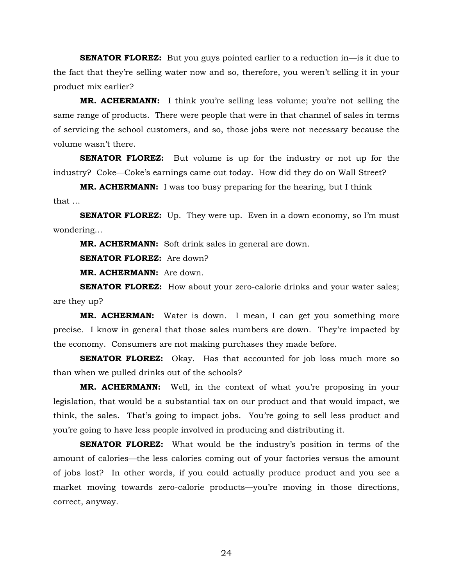**SENATOR FLOREZ:** But you guys pointed earlier to a reduction in—is it due to the fact that they're selling water now and so, therefore, you weren't selling it in your product mix earlier?

**MR. ACHERMANN:** I think you're selling less volume; you're not selling the same range of products. There were people that were in that channel of sales in terms of servicing the school customers, and so, those jobs were not necessary because the volume wasn't there.

**SENATOR FLOREZ:** But volume is up for the industry or not up for the industry? Coke—Coke's earnings came out today. How did they do on Wall Street?

**MR. ACHERMANN:** I was too busy preparing for the hearing, but I think that …

**SENATOR FLOREZ:** Up. They were up. Even in a down economy, so I'm must wondering…

**MR. ACHERMANN:** Soft drink sales in general are down.

**SENATOR FLOREZ:** Are down?

**MR. ACHERMANN:** Are down.

**SENATOR FLOREZ:** How about your zero-calorie drinks and your water sales; are they up?

**MR. ACHERMAN:** Water is down. I mean, I can get you something more precise. I know in general that those sales numbers are down. They're impacted by the economy. Consumers are not making purchases they made before.

**SENATOR FLOREZ:** Okay. Has that accounted for job loss much more so than when we pulled drinks out of the schools?

**MR. ACHERMANN:** Well, in the context of what you're proposing in your legislation, that would be a substantial tax on our product and that would impact, we think, the sales. That's going to impact jobs. You're going to sell less product and you're going to have less people involved in producing and distributing it.

**SENATOR FLOREZ:** What would be the industry's position in terms of the amount of calories—the less calories coming out of your factories versus the amount of jobs lost? In other words, if you could actually produce product and you see a market moving towards zero-calorie products—you're moving in those directions, correct, anyway.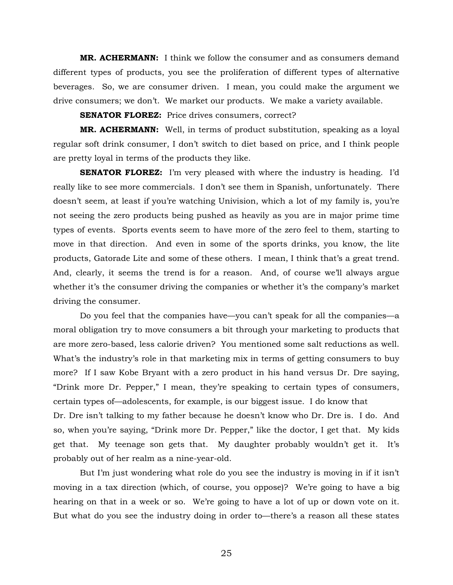**MR. ACHERMANN:** I think we follow the consumer and as consumers demand different types of products, you see the proliferation of different types of alternative beverages. So, we are consumer driven. I mean, you could make the argument we drive consumers; we don't. We market our products. We make a variety available.

**SENATOR FLOREZ:** Price drives consumers, correct?

**MR. ACHERMANN:** Well, in terms of product substitution, speaking as a loyal regular soft drink consumer, I don't switch to diet based on price, and I think people are pretty loyal in terms of the products they like.

**SENATOR FLOREZ:** I'm very pleased with where the industry is heading. I'd really like to see more commercials. I don't see them in Spanish, unfortunately. There doesn't seem, at least if you're watching Univision, which a lot of my family is, you're not seeing the zero products being pushed as heavily as you are in major prime time types of events. Sports events seem to have more of the zero feel to them, starting to move in that direction. And even in some of the sports drinks, you know, the lite products, Gatorade Lite and some of these others. I mean, I think that's a great trend. And, clearly, it seems the trend is for a reason. And, of course we'll always argue whether it's the consumer driving the companies or whether it's the company's market driving the consumer.

Do you feel that the companies have—you can't speak for all the companies—a moral obligation try to move consumers a bit through your marketing to products that are more zero-based, less calorie driven? You mentioned some salt reductions as well. What's the industry's role in that marketing mix in terms of getting consumers to buy more? If I saw Kobe Bryant with a zero product in his hand versus Dr. Dre saying, "Drink more Dr. Pepper," I mean, they're speaking to certain types of consumers, certain types of—adolescents, for example, is our biggest issue. I do know that Dr. Dre isn't talking to my father because he doesn't know who Dr. Dre is. I do. And so, when you're saying, "Drink more Dr. Pepper," like the doctor, I get that. My kids get that. My teenage son gets that. My daughter probably wouldn't get it. It's probably out of her realm as a nine-year-old.

But I'm just wondering what role do you see the industry is moving in if it isn't moving in a tax direction (which, of course, you oppose)? We're going to have a big hearing on that in a week or so. We're going to have a lot of up or down vote on it. But what do you see the industry doing in order to—there's a reason all these states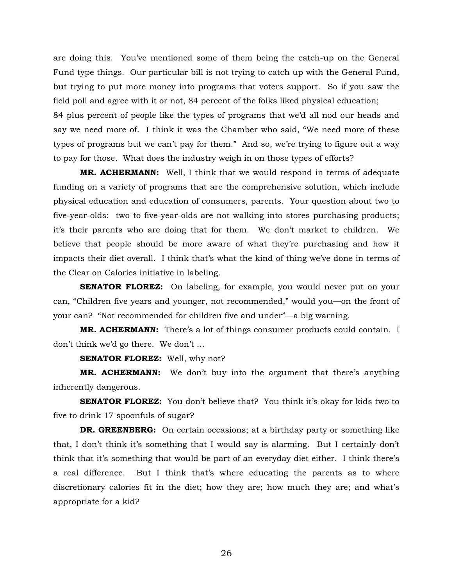are doing this. You've mentioned some of them being the catch-up on the General Fund type things. Our particular bill is not trying to catch up with the General Fund, but trying to put more money into programs that voters support. So if you saw the field poll and agree with it or not, 84 percent of the folks liked physical education;

84 plus percent of people like the types of programs that we'd all nod our heads and say we need more of. I think it was the Chamber who said, "We need more of these types of programs but we can't pay for them." And so, we're trying to figure out a way to pay for those. What does the industry weigh in on those types of efforts?

 **MR. ACHERMANN:** Well, I think that we would respond in terms of adequate funding on a variety of programs that are the comprehensive solution, which include physical education and education of consumers, parents. Your question about two to five-year-olds: two to five-year-olds are not walking into stores purchasing products; it's their parents who are doing that for them. We don't market to children. We believe that people should be more aware of what they're purchasing and how it impacts their diet overall. I think that's what the kind of thing we've done in terms of the Clear on Calories initiative in labeling.

**SENATOR FLOREZ:** On labeling, for example, you would never put on your can, "Children five years and younger, not recommended," would you—on the front of your can? "Not recommended for children five and under"—a big warning.

**MR. ACHERMANN:** There's a lot of things consumer products could contain. I don't think we'd go there. We don't …

**SENATOR FLOREZ:** Well, why not?

**MR. ACHERMANN:** We don't buy into the argument that there's anything inherently dangerous.

**SENATOR FLOREZ:** You don't believe that? You think it's okay for kids two to five to drink 17 spoonfuls of sugar?

**DR. GREENBERG:** On certain occasions; at a birthday party or something like that, I don't think it's something that I would say is alarming. But I certainly don't think that it's something that would be part of an everyday diet either. I think there's a real difference. But I think that's where educating the parents as to where discretionary calories fit in the diet; how they are; how much they are; and what's appropriate for a kid?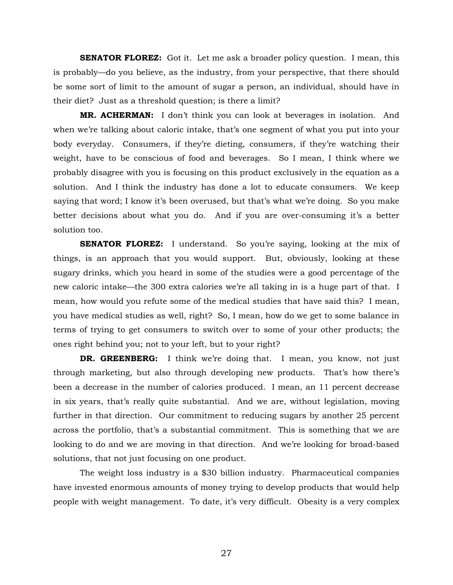**SENATOR FLOREZ:** Got it. Let me ask a broader policy question. I mean, this is probably—do you believe, as the industry, from your perspective, that there should be some sort of limit to the amount of sugar a person, an individual, should have in their diet? Just as a threshold question; is there a limit?

**MR. ACHERMAN:** I don't think you can look at beverages in isolation. And when we're talking about caloric intake, that's one segment of what you put into your body everyday. Consumers, if they're dieting, consumers, if they're watching their weight, have to be conscious of food and beverages. So I mean, I think where we probably disagree with you is focusing on this product exclusively in the equation as a solution. And I think the industry has done a lot to educate consumers. We keep saying that word; I know it's been overused, but that's what we're doing. So you make better decisions about what you do. And if you are over-consuming it's a better solution too.

**SENATOR FLOREZ:** I understand. So you're saying, looking at the mix of things, is an approach that you would support. But, obviously, looking at these sugary drinks, which you heard in some of the studies were a good percentage of the new caloric intake—the 300 extra calories we're all taking in is a huge part of that. I mean, how would you refute some of the medical studies that have said this? I mean, you have medical studies as well, right? So, I mean, how do we get to some balance in terms of trying to get consumers to switch over to some of your other products; the ones right behind you; not to your left, but to your right?

**DR. GREENBERG:** I think we're doing that. I mean, you know, not just through marketing, but also through developing new products. That's how there's been a decrease in the number of calories produced. I mean, an 11 percent decrease in six years, that's really quite substantial. And we are, without legislation, moving further in that direction. Our commitment to reducing sugars by another 25 percent across the portfolio, that's a substantial commitment. This is something that we are looking to do and we are moving in that direction. And we're looking for broad-based solutions, that not just focusing on one product.

The weight loss industry is a \$30 billion industry. Pharmaceutical companies have invested enormous amounts of money trying to develop products that would help people with weight management. To date, it's very difficult. Obesity is a very complex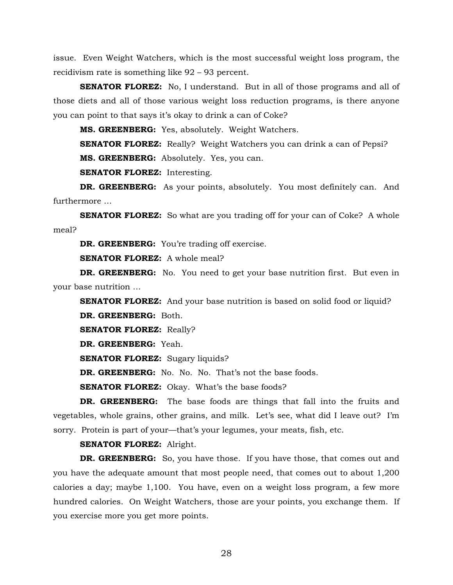issue. Even Weight Watchers, which is the most successful weight loss program, the recidivism rate is something like 92 – 93 percent.

**SENATOR FLOREZ:** No, I understand. But in all of those programs and all of those diets and all of those various weight loss reduction programs, is there anyone you can point to that says it's okay to drink a can of Coke?

**MS. GREENBERG:** Yes, absolutely. Weight Watchers.

**SENATOR FLOREZ:** Really? Weight Watchers you can drink a can of Pepsi?

**MS. GREENBERG:** Absolutely. Yes, you can.

**SENATOR FLOREZ:** Interesting.

**DR. GREENBERG:** As your points, absolutely. You most definitely can. And furthermore …

**SENATOR FLOREZ:** So what are you trading off for your can of Coke? A whole meal?

**DR. GREENBERG:** You're trading off exercise.

**SENATOR FLOREZ:** A whole meal?

**DR. GREENBERG:** No. You need to get your base nutrition first. But even in your base nutrition …

**SENATOR FLOREZ:** And your base nutrition is based on solid food or liquid? **DR. GREENBERG:** Both.

**SENATOR FLOREZ:** Really?

**DR. GREENBERG:** Yeah.

**SENATOR FLOREZ:** Sugary liquids?

**DR. GREENBERG:** No. No. No. That's not the base foods.

**SENATOR FLOREZ:** Okay. What's the base foods?

**DR. GREENBERG:** The base foods are things that fall into the fruits and vegetables, whole grains, other grains, and milk. Let's see, what did I leave out? I'm sorry. Protein is part of your—that's your legumes, your meats, fish, etc.

**SENATOR FLOREZ:** Alright.

**DR. GREENBERG:** So, you have those. If you have those, that comes out and you have the adequate amount that most people need, that comes out to about 1,200 calories a day; maybe 1,100. You have, even on a weight loss program, a few more hundred calories. On Weight Watchers, those are your points, you exchange them. If you exercise more you get more points.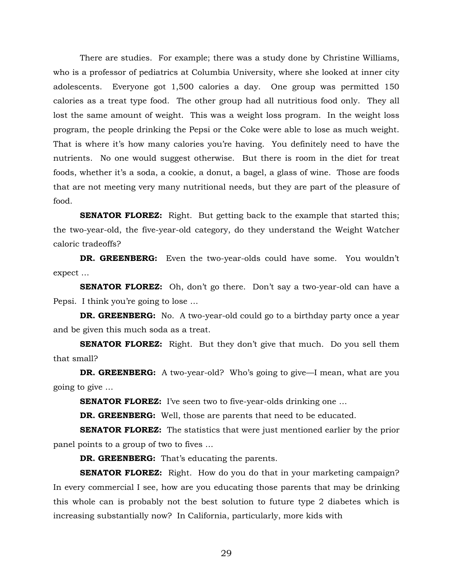There are studies. For example; there was a study done by Christine Williams, who is a professor of pediatrics at Columbia University, where she looked at inner city adolescents. Everyone got 1,500 calories a day. One group was permitted 150 calories as a treat type food. The other group had all nutritious food only. They all lost the same amount of weight. This was a weight loss program. In the weight loss program, the people drinking the Pepsi or the Coke were able to lose as much weight. That is where it's how many calories you're having. You definitely need to have the nutrients. No one would suggest otherwise. But there is room in the diet for treat foods, whether it's a soda, a cookie, a donut, a bagel, a glass of wine. Those are foods that are not meeting very many nutritional needs, but they are part of the pleasure of food.

**SENATOR FLOREZ:** Right. But getting back to the example that started this; the two-year-old, the five-year-old category, do they understand the Weight Watcher caloric tradeoffs?

**DR. GREENBERG:** Even the two-year-olds could have some. You wouldn't expect …

**SENATOR FLOREZ:** Oh, don't go there. Don't say a two-year-old can have a Pepsi. I think you're going to lose …

**DR. GREENBERG:** No. A two-year-old could go to a birthday party once a year and be given this much soda as a treat.

**SENATOR FLOREZ:** Right. But they don't give that much. Do you sell them that small?

**DR. GREENBERG:** A two-year-old? Who's going to give—I mean, what are you going to give …

**SENATOR FLOREZ:** I've seen two to five-year-olds drinking one ...

**DR. GREENBERG:** Well, those are parents that need to be educated.

**SENATOR FLOREZ:** The statistics that were just mentioned earlier by the prior panel points to a group of two to fives …

**DR. GREENBERG:** That's educating the parents.

**SENATOR FLOREZ:** Right. How do you do that in your marketing campaign? In every commercial I see, how are you educating those parents that may be drinking this whole can is probably not the best solution to future type 2 diabetes which is increasing substantially now? In California, particularly, more kids with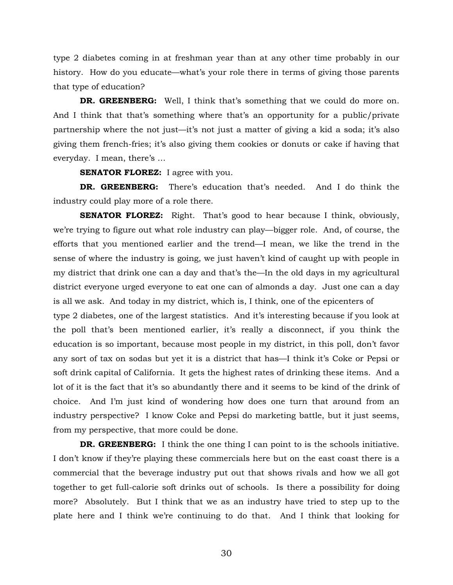type 2 diabetes coming in at freshman year than at any other time probably in our history. How do you educate—what's your role there in terms of giving those parents that type of education?

**DR. GREENBERG:** Well, I think that's something that we could do more on. And I think that that's something where that's an opportunity for a public/private partnership where the not just—it's not just a matter of giving a kid a soda; it's also giving them french-fries; it's also giving them cookies or donuts or cake if having that everyday. I mean, there's …

**SENATOR FLOREZ:** I agree with you.

**DR. GREENBERG:** There's education that's needed. And I do think the industry could play more of a role there.

**SENATOR FLOREZ:** Right. That's good to hear because I think, obviously, we're trying to figure out what role industry can play—bigger role. And, of course, the efforts that you mentioned earlier and the trend—I mean, we like the trend in the sense of where the industry is going, we just haven't kind of caught up with people in my district that drink one can a day and that's the—In the old days in my agricultural district everyone urged everyone to eat one can of almonds a day. Just one can a day is all we ask. And today in my district, which is, I think, one of the epicenters of

type 2 diabetes, one of the largest statistics. And it's interesting because if you look at the poll that's been mentioned earlier, it's really a disconnect, if you think the education is so important, because most people in my district, in this poll, don't favor any sort of tax on sodas but yet it is a district that has—I think it's Coke or Pepsi or soft drink capital of California. It gets the highest rates of drinking these items. And a lot of it is the fact that it's so abundantly there and it seems to be kind of the drink of choice. And I'm just kind of wondering how does one turn that around from an industry perspective? I know Coke and Pepsi do marketing battle, but it just seems, from my perspective, that more could be done.

**DR. GREENBERG:** I think the one thing I can point to is the schools initiative. I don't know if they're playing these commercials here but on the east coast there is a commercial that the beverage industry put out that shows rivals and how we all got together to get full-calorie soft drinks out of schools. Is there a possibility for doing more? Absolutely. But I think that we as an industry have tried to step up to the plate here and I think we're continuing to do that. And I think that looking for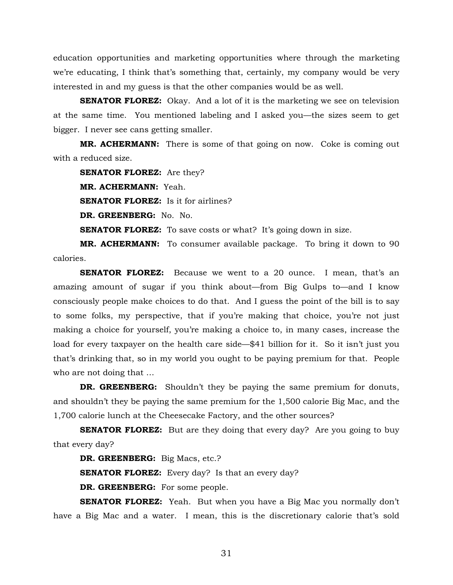education opportunities and marketing opportunities where through the marketing we're educating, I think that's something that, certainly, my company would be very interested in and my guess is that the other companies would be as well.

**SENATOR FLOREZ:** Okay. And a lot of it is the marketing we see on television at the same time. You mentioned labeling and I asked you—the sizes seem to get bigger. I never see cans getting smaller.

**MR. ACHERMANN:** There is some of that going on now. Coke is coming out with a reduced size.

**SENATOR FLOREZ:** Are they? **MR. ACHERMANN:** Yeah. **SENATOR FLOREZ:** Is it for airlines? **DR. GREENBERG:** No. No.

**SENATOR FLOREZ:** To save costs or what? It's going down in size.

**MR. ACHERMANN:** To consumer available package. To bring it down to 90 calories.

**SENATOR FLOREZ:** Because we went to a 20 ounce. I mean, that's an amazing amount of sugar if you think about—from Big Gulps to—and I know consciously people make choices to do that. And I guess the point of the bill is to say to some folks, my perspective, that if you're making that choice, you're not just making a choice for yourself, you're making a choice to, in many cases, increase the load for every taxpayer on the health care side—\$41 billion for it. So it isn't just you that's drinking that, so in my world you ought to be paying premium for that. People who are not doing that …

**DR. GREENBERG:** Shouldn't they be paying the same premium for donuts, and shouldn't they be paying the same premium for the 1,500 calorie Big Mac, and the 1,700 calorie lunch at the Cheesecake Factory, and the other sources?

**SENATOR FLOREZ:** But are they doing that every day? Are you going to buy that every day?

**DR. GREENBERG:** Big Macs, etc.?

**SENATOR FLOREZ:** Every day? Is that an every day?

**DR. GREENBERG:** For some people.

**SENATOR FLOREZ:** Yeah. But when you have a Big Mac you normally don't have a Big Mac and a water. I mean, this is the discretionary calorie that's sold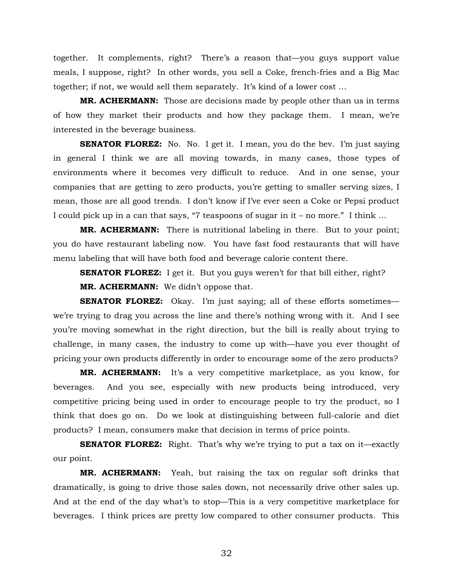together. It complements, right? There's a reason that—you guys support value meals, I suppose, right? In other words, you sell a Coke, french-fries and a Big Mac together; if not, we would sell them separately. It's kind of a lower cost …

**MR. ACHERMANN:** Those are decisions made by people other than us in terms of how they market their products and how they package them. I mean, we're interested in the beverage business.

**SENATOR FLOREZ:** No. No. I get it. I mean, you do the bev. I'm just saying in general I think we are all moving towards, in many cases, those types of environments where it becomes very difficult to reduce. And in one sense, your companies that are getting to zero products, you're getting to smaller serving sizes, I mean, those are all good trends. I don't know if I've ever seen a Coke or Pepsi product I could pick up in a can that says, "7 teaspoons of sugar in it – no more." I think …

**MR. ACHERMANN:** There is nutritional labeling in there. But to your point; you do have restaurant labeling now. You have fast food restaurants that will have menu labeling that will have both food and beverage calorie content there.

**SENATOR FLOREZ:** I get it. But you guys weren't for that bill either, right?

**MR. ACHERMANN:** We didn't oppose that.

**SENATOR FLOREZ:** Okay. I'm just saying; all of these efforts sometimes we're trying to drag you across the line and there's nothing wrong with it. And I see you're moving somewhat in the right direction, but the bill is really about trying to challenge, in many cases, the industry to come up with—have you ever thought of pricing your own products differently in order to encourage some of the zero products?

**MR. ACHERMANN:** It's a very competitive marketplace, as you know, for beverages. And you see, especially with new products being introduced, very competitive pricing being used in order to encourage people to try the product, so I think that does go on. Do we look at distinguishing between full-calorie and diet products? I mean, consumers make that decision in terms of price points.

**SENATOR FLOREZ:** Right. That's why we're trying to put a tax on it—exactly our point.

**MR. ACHERMANN:** Yeah, but raising the tax on regular soft drinks that dramatically, is going to drive those sales down, not necessarily drive other sales up. And at the end of the day what's to stop—This is a very competitive marketplace for beverages. I think prices are pretty low compared to other consumer products. This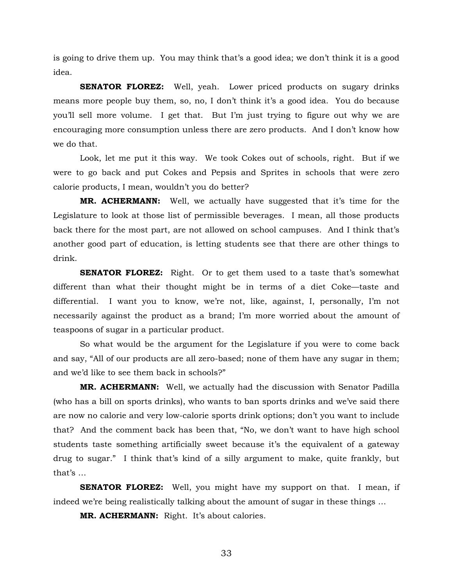is going to drive them up. You may think that's a good idea; we don't think it is a good idea.

**SENATOR FLOREZ:** Well, yeah. Lower priced products on sugary drinks means more people buy them, so, no, I don't think it's a good idea. You do because you'll sell more volume. I get that. But I'm just trying to figure out why we are encouraging more consumption unless there are zero products. And I don't know how we do that.

Look, let me put it this way. We took Cokes out of schools, right. But if we were to go back and put Cokes and Pepsis and Sprites in schools that were zero calorie products, I mean, wouldn't you do better?

**MR. ACHERMANN:** Well, we actually have suggested that it's time for the Legislature to look at those list of permissible beverages. I mean, all those products back there for the most part, are not allowed on school campuses. And I think that's another good part of education, is letting students see that there are other things to drink.

**SENATOR FLOREZ:** Right. Or to get them used to a taste that's somewhat different than what their thought might be in terms of a diet Coke—taste and differential. I want you to know, we're not, like, against, I, personally, I'm not necessarily against the product as a brand; I'm more worried about the amount of teaspoons of sugar in a particular product.

So what would be the argument for the Legislature if you were to come back and say, "All of our products are all zero-based; none of them have any sugar in them; and we'd like to see them back in schools?"

**MR. ACHERMANN:** Well, we actually had the discussion with Senator Padilla (who has a bill on sports drinks), who wants to ban sports drinks and we've said there are now no calorie and very low-calorie sports drink options; don't you want to include that? And the comment back has been that, "No, we don't want to have high school students taste something artificially sweet because it's the equivalent of a gateway drug to sugar." I think that's kind of a silly argument to make, quite frankly, but that's …

**SENATOR FLOREZ:** Well, you might have my support on that. I mean, if indeed we're being realistically talking about the amount of sugar in these things …

 **MR. ACHERMANN:** Right. It's about calories.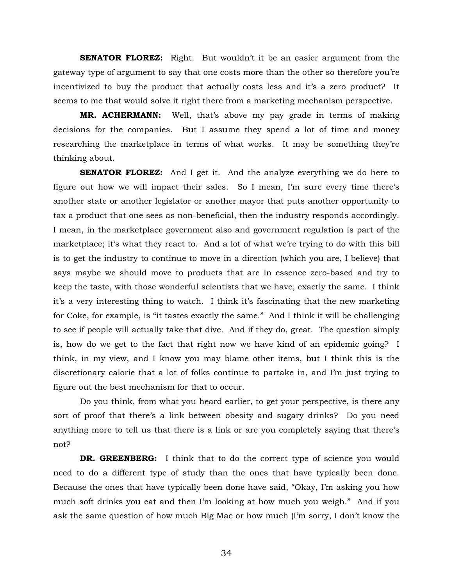**SENATOR FLOREZ:** Right. But wouldn't it be an easier argument from the gateway type of argument to say that one costs more than the other so therefore you're incentivized to buy the product that actually costs less and it's a zero product? It seems to me that would solve it right there from a marketing mechanism perspective.

**MR. ACHERMANN:** Well, that's above my pay grade in terms of making decisions for the companies. But I assume they spend a lot of time and money researching the marketplace in terms of what works. It may be something they're thinking about.

**SENATOR FLOREZ:** And I get it. And the analyze everything we do here to figure out how we will impact their sales. So I mean, I'm sure every time there's another state or another legislator or another mayor that puts another opportunity to tax a product that one sees as non-beneficial, then the industry responds accordingly. I mean, in the marketplace government also and government regulation is part of the marketplace; it's what they react to. And a lot of what we're trying to do with this bill is to get the industry to continue to move in a direction (which you are, I believe) that says maybe we should move to products that are in essence zero-based and try to keep the taste, with those wonderful scientists that we have, exactly the same. I think it's a very interesting thing to watch. I think it's fascinating that the new marketing for Coke, for example, is "it tastes exactly the same." And I think it will be challenging to see if people will actually take that dive. And if they do, great. The question simply is, how do we get to the fact that right now we have kind of an epidemic going? I think, in my view, and I know you may blame other items, but I think this is the discretionary calorie that a lot of folks continue to partake in, and I'm just trying to figure out the best mechanism for that to occur.

 Do you think, from what you heard earlier, to get your perspective, is there any sort of proof that there's a link between obesity and sugary drinks? Do you need anything more to tell us that there is a link or are you completely saying that there's not?

 **DR. GREENBERG:** I think that to do the correct type of science you would need to do a different type of study than the ones that have typically been done. Because the ones that have typically been done have said, "Okay, I'm asking you how much soft drinks you eat and then I'm looking at how much you weigh." And if you ask the same question of how much Big Mac or how much (I'm sorry, I don't know the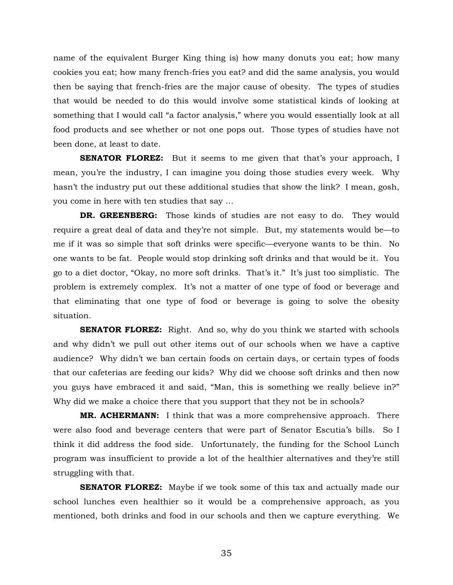name of the equivalent Burger King thing is) how many donuts you eat; how many cookies you eat; how many french-fries you eat? and did the same analysis, you would then be saying that french-fries are the major cause of obesity. The types of studies that would be needed to do this would involve some statistical kinds of looking at something that I would call "a factor analysis," where you would essentially look at all food products and see whether or not one pops out. Those types of studies have not been done, at least to date.

**SENATOR FLOREZ:** But it seems to me given that that's your approach, I mean, you're the industry, I can imagine you doing those studies every week. Why hasn't the industry put out these additional studies that show the link? I mean, gosh, you come in here with ten studies that say …

**DR. GREENBERG:** Those kinds of studies are not easy to do. They would require a great deal of data and they're not simple. But, my statements would be—to me if it was so simple that soft drinks were specific—everyone wants to be thin. No one wants to be fat. People would stop drinking soft drinks and that would be it. You go to a diet doctor, "Okay, no more soft drinks. That's it." It's just too simplistic. The problem is extremely complex. It's not a matter of one type of food or beverage and that eliminating that one type of food or beverage is going to solve the obesity situation.

**SENATOR FLOREZ:** Right. And so, why do you think we started with schools and why didn't we pull out other items out of our schools when we have a captive audience? Why didn't we ban certain foods on certain days, or certain types of foods that our cafeterias are feeding our kids? Why did we choose soft drinks and then now you guys have embraced it and said, "Man, this is something we really believe in?" Why did we make a choice there that you support that they not be in schools?

**MR. ACHERMANN:** I think that was a more comprehensive approach. There were also food and beverage centers that were part of Senator Escutia's bills. So I think it did address the food side. Unfortunately, the funding for the School Lunch program was insufficient to provide a lot of the healthier alternatives and they're still struggling with that.

**SENATOR FLOREZ:** Maybe if we took some of this tax and actually made our school lunches even healthier so it would be a comprehensive approach, as you mentioned, both drinks and food in our schools and then we capture everything. We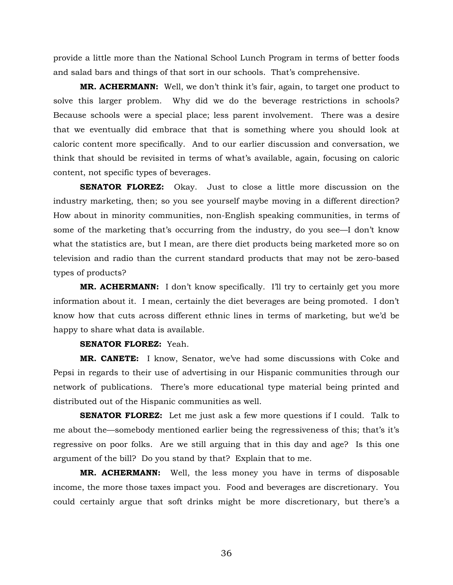provide a little more than the National School Lunch Program in terms of better foods and salad bars and things of that sort in our schools. That's comprehensive.

**MR. ACHERMANN:** Well, we don't think it's fair, again, to target one product to solve this larger problem. Why did we do the beverage restrictions in schools? Because schools were a special place; less parent involvement. There was a desire that we eventually did embrace that that is something where you should look at caloric content more specifically. And to our earlier discussion and conversation, we think that should be revisited in terms of what's available, again, focusing on caloric content, not specific types of beverages.

**SENATOR FLOREZ:** Okay. Just to close a little more discussion on the industry marketing, then; so you see yourself maybe moving in a different direction? How about in minority communities, non-English speaking communities, in terms of some of the marketing that's occurring from the industry, do you see—I don't know what the statistics are, but I mean, are there diet products being marketed more so on television and radio than the current standard products that may not be zero-based types of products?

**MR. ACHERMANN:** I don't know specifically. I'll try to certainly get you more information about it. I mean, certainly the diet beverages are being promoted. I don't know how that cuts across different ethnic lines in terms of marketing, but we'd be happy to share what data is available.

#### **SENATOR FLOREZ:** Yeah.

**MR. CANETE:** I know, Senator, we've had some discussions with Coke and Pepsi in regards to their use of advertising in our Hispanic communities through our network of publications. There's more educational type material being printed and distributed out of the Hispanic communities as well.

**SENATOR FLOREZ:** Let me just ask a few more questions if I could. Talk to me about the—somebody mentioned earlier being the regressiveness of this; that's it's regressive on poor folks. Are we still arguing that in this day and age? Is this one argument of the bill? Do you stand by that? Explain that to me.

**MR. ACHERMANN:** Well, the less money you have in terms of disposable income, the more those taxes impact you. Food and beverages are discretionary. You could certainly argue that soft drinks might be more discretionary, but there's a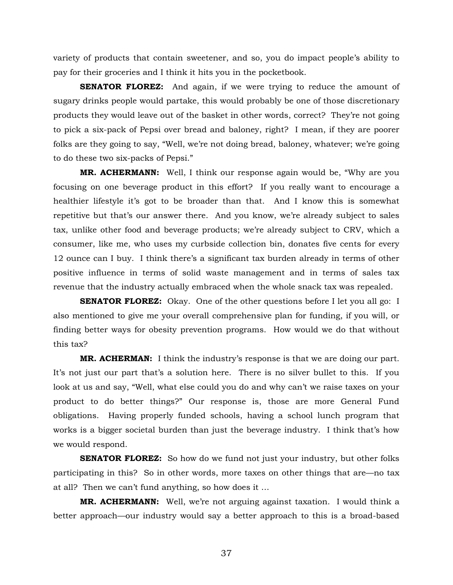variety of products that contain sweetener, and so, you do impact people's ability to pay for their groceries and I think it hits you in the pocketbook.

**SENATOR FLOREZ:** And again, if we were trying to reduce the amount of sugary drinks people would partake, this would probably be one of those discretionary products they would leave out of the basket in other words, correct? They're not going to pick a six-pack of Pepsi over bread and baloney, right? I mean, if they are poorer folks are they going to say, "Well, we're not doing bread, baloney, whatever; we're going to do these two six-packs of Pepsi."

**MR. ACHERMANN:** Well, I think our response again would be, "Why are you focusing on one beverage product in this effort? If you really want to encourage a healthier lifestyle it's got to be broader than that. And I know this is somewhat repetitive but that's our answer there. And you know, we're already subject to sales tax, unlike other food and beverage products; we're already subject to CRV, which a consumer, like me, who uses my curbside collection bin, donates five cents for every 12 ounce can I buy. I think there's a significant tax burden already in terms of other positive influence in terms of solid waste management and in terms of sales tax revenue that the industry actually embraced when the whole snack tax was repealed.

**SENATOR FLOREZ:** Okay. One of the other questions before I let you all go: I also mentioned to give me your overall comprehensive plan for funding, if you will, or finding better ways for obesity prevention programs. How would we do that without this tax?

**MR. ACHERMAN:** I think the industry's response is that we are doing our part. It's not just our part that's a solution here. There is no silver bullet to this. If you look at us and say, "Well, what else could you do and why can't we raise taxes on your product to do better things?" Our response is, those are more General Fund obligations. Having properly funded schools, having a school lunch program that works is a bigger societal burden than just the beverage industry. I think that's how we would respond.

**SENATOR FLOREZ:** So how do we fund not just your industry, but other folks participating in this? So in other words, more taxes on other things that are—no tax at all? Then we can't fund anything, so how does it …

**MR. ACHERMANN:** Well, we're not arguing against taxation. I would think a better approach—our industry would say a better approach to this is a broad-based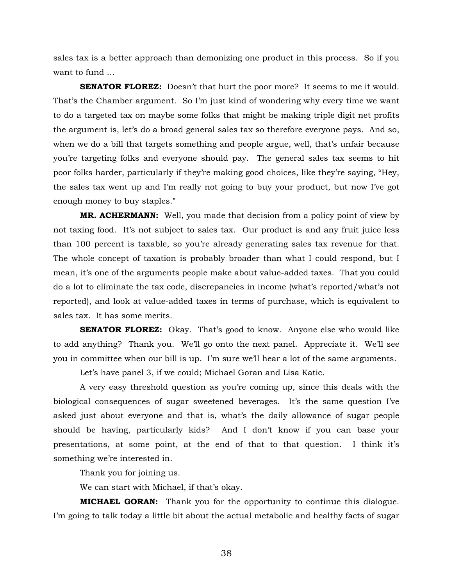sales tax is a better approach than demonizing one product in this process. So if you want to fund …

**SENATOR FLOREZ:** Doesn't that hurt the poor more? It seems to me it would. That's the Chamber argument. So I'm just kind of wondering why every time we want to do a targeted tax on maybe some folks that might be making triple digit net profits the argument is, let's do a broad general sales tax so therefore everyone pays. And so, when we do a bill that targets something and people argue, well, that's unfair because you're targeting folks and everyone should pay. The general sales tax seems to hit poor folks harder, particularly if they're making good choices, like they're saying, "Hey, the sales tax went up and I'm really not going to buy your product, but now I've got enough money to buy staples."

**MR. ACHERMANN:** Well, you made that decision from a policy point of view by not taxing food. It's not subject to sales tax. Our product is and any fruit juice less than 100 percent is taxable, so you're already generating sales tax revenue for that. The whole concept of taxation is probably broader than what I could respond, but I mean, it's one of the arguments people make about value-added taxes. That you could do a lot to eliminate the tax code, discrepancies in income (what's reported/what's not reported), and look at value-added taxes in terms of purchase, which is equivalent to sales tax. It has some merits.

**SENATOR FLOREZ:** Okay. That's good to know. Anyone else who would like to add anything? Thank you. We'll go onto the next panel. Appreciate it. We'll see you in committee when our bill is up. I'm sure we'll hear a lot of the same arguments.

Let's have panel 3, if we could; Michael Goran and Lisa Katic.

A very easy threshold question as you're coming up, since this deals with the biological consequences of sugar sweetened beverages. It's the same question I've asked just about everyone and that is, what's the daily allowance of sugar people should be having, particularly kids? And I don't know if you can base your presentations, at some point, at the end of that to that question. I think it's something we're interested in.

Thank you for joining us.

We can start with Michael, if that's okay.

**MICHAEL GORAN:** Thank you for the opportunity to continue this dialogue. I'm going to talk today a little bit about the actual metabolic and healthy facts of sugar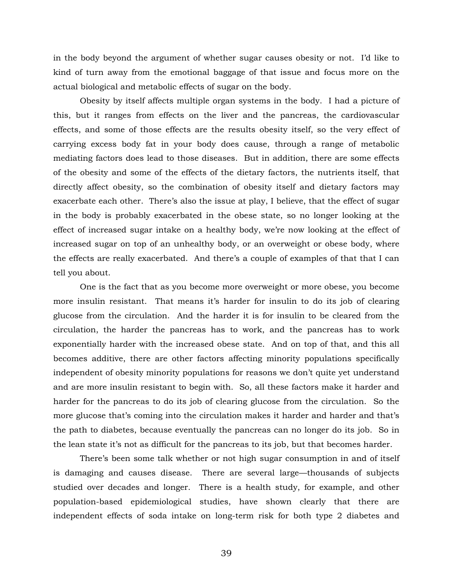in the body beyond the argument of whether sugar causes obesity or not. I'd like to kind of turn away from the emotional baggage of that issue and focus more on the actual biological and metabolic effects of sugar on the body.

 Obesity by itself affects multiple organ systems in the body. I had a picture of this, but it ranges from effects on the liver and the pancreas, the cardiovascular effects, and some of those effects are the results obesity itself, so the very effect of carrying excess body fat in your body does cause, through a range of metabolic mediating factors does lead to those diseases. But in addition, there are some effects of the obesity and some of the effects of the dietary factors, the nutrients itself, that directly affect obesity, so the combination of obesity itself and dietary factors may exacerbate each other. There's also the issue at play, I believe, that the effect of sugar in the body is probably exacerbated in the obese state, so no longer looking at the effect of increased sugar intake on a healthy body, we're now looking at the effect of increased sugar on top of an unhealthy body, or an overweight or obese body, where the effects are really exacerbated. And there's a couple of examples of that that I can tell you about.

 One is the fact that as you become more overweight or more obese, you become more insulin resistant. That means it's harder for insulin to do its job of clearing glucose from the circulation. And the harder it is for insulin to be cleared from the circulation, the harder the pancreas has to work, and the pancreas has to work exponentially harder with the increased obese state. And on top of that, and this all becomes additive, there are other factors affecting minority populations specifically independent of obesity minority populations for reasons we don't quite yet understand and are more insulin resistant to begin with. So, all these factors make it harder and harder for the pancreas to do its job of clearing glucose from the circulation. So the more glucose that's coming into the circulation makes it harder and harder and that's the path to diabetes, because eventually the pancreas can no longer do its job. So in the lean state it's not as difficult for the pancreas to its job, but that becomes harder.

 There's been some talk whether or not high sugar consumption in and of itself is damaging and causes disease. There are several large—thousands of subjects studied over decades and longer. There is a health study, for example, and other population-based epidemiological studies, have shown clearly that there are independent effects of soda intake on long-term risk for both type 2 diabetes and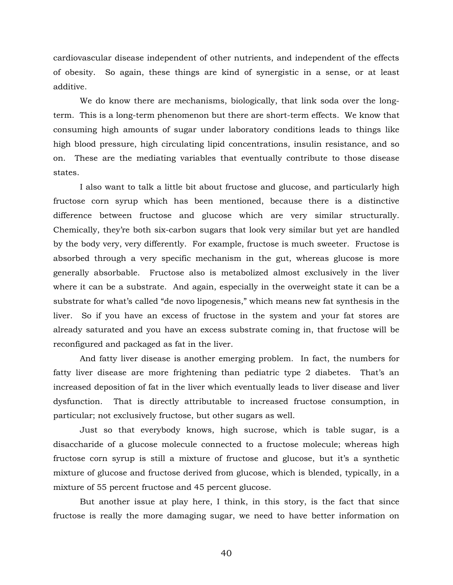cardiovascular disease independent of other nutrients, and independent of the effects of obesity. So again, these things are kind of synergistic in a sense, or at least additive.

 We do know there are mechanisms, biologically, that link soda over the longterm. This is a long-term phenomenon but there are short-term effects. We know that consuming high amounts of sugar under laboratory conditions leads to things like high blood pressure, high circulating lipid concentrations, insulin resistance, and so on. These are the mediating variables that eventually contribute to those disease states.

 I also want to talk a little bit about fructose and glucose, and particularly high fructose corn syrup which has been mentioned, because there is a distinctive difference between fructose and glucose which are very similar structurally. Chemically, they're both six-carbon sugars that look very similar but yet are handled by the body very, very differently. For example, fructose is much sweeter. Fructose is absorbed through a very specific mechanism in the gut, whereas glucose is more generally absorbable. Fructose also is metabolized almost exclusively in the liver where it can be a substrate. And again, especially in the overweight state it can be a substrate for what's called "de novo lipogenesis," which means new fat synthesis in the liver. So if you have an excess of fructose in the system and your fat stores are already saturated and you have an excess substrate coming in, that fructose will be reconfigured and packaged as fat in the liver.

And fatty liver disease is another emerging problem. In fact, the numbers for fatty liver disease are more frightening than pediatric type 2 diabetes. That's an increased deposition of fat in the liver which eventually leads to liver disease and liver dysfunction. That is directly attributable to increased fructose consumption, in particular; not exclusively fructose, but other sugars as well.

 Just so that everybody knows, high sucrose, which is table sugar, is a disaccharide of a glucose molecule connected to a fructose molecule; whereas high fructose corn syrup is still a mixture of fructose and glucose, but it's a synthetic mixture of glucose and fructose derived from glucose, which is blended, typically, in a mixture of 55 percent fructose and 45 percent glucose.

But another issue at play here, I think, in this story, is the fact that since fructose is really the more damaging sugar, we need to have better information on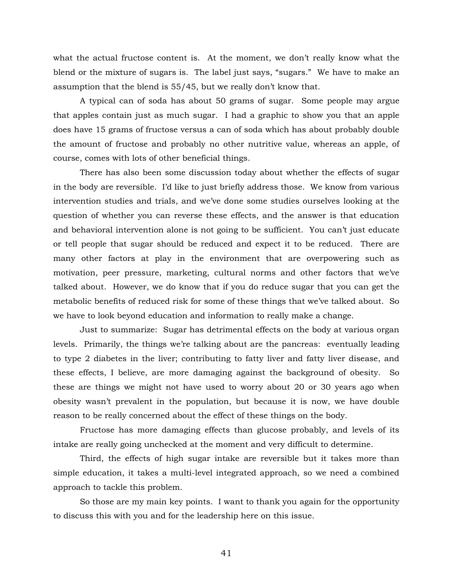what the actual fructose content is. At the moment, we don't really know what the blend or the mixture of sugars is. The label just says, "sugars." We have to make an assumption that the blend is 55/45, but we really don't know that.

 A typical can of soda has about 50 grams of sugar. Some people may argue that apples contain just as much sugar. I had a graphic to show you that an apple does have 15 grams of fructose versus a can of soda which has about probably double the amount of fructose and probably no other nutritive value, whereas an apple, of course, comes with lots of other beneficial things.

 There has also been some discussion today about whether the effects of sugar in the body are reversible. I'd like to just briefly address those. We know from various intervention studies and trials, and we've done some studies ourselves looking at the question of whether you can reverse these effects, and the answer is that education and behavioral intervention alone is not going to be sufficient. You can't just educate or tell people that sugar should be reduced and expect it to be reduced. There are many other factors at play in the environment that are overpowering such as motivation, peer pressure, marketing, cultural norms and other factors that we've talked about. However, we do know that if you do reduce sugar that you can get the metabolic benefits of reduced risk for some of these things that we've talked about. So we have to look beyond education and information to really make a change.

 Just to summarize: Sugar has detrimental effects on the body at various organ levels. Primarily, the things we're talking about are the pancreas: eventually leading to type 2 diabetes in the liver; contributing to fatty liver and fatty liver disease, and these effects, I believe, are more damaging against the background of obesity. So these are things we might not have used to worry about 20 or 30 years ago when obesity wasn't prevalent in the population, but because it is now, we have double reason to be really concerned about the effect of these things on the body.

Fructose has more damaging effects than glucose probably, and levels of its intake are really going unchecked at the moment and very difficult to determine.

 Third, the effects of high sugar intake are reversible but it takes more than simple education, it takes a multi-level integrated approach, so we need a combined approach to tackle this problem.

 So those are my main key points. I want to thank you again for the opportunity to discuss this with you and for the leadership here on this issue.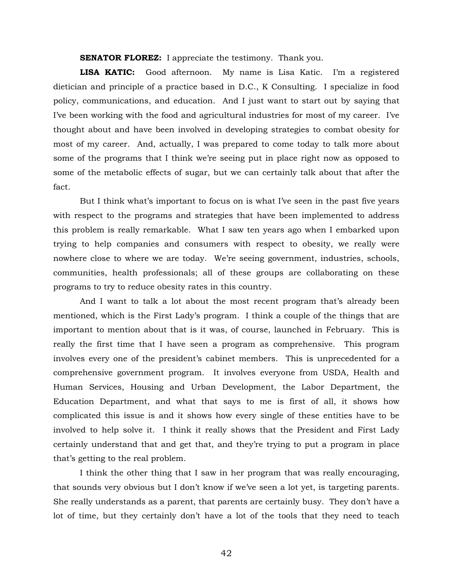**SENATOR FLOREZ:** I appreciate the testimony. Thank you.

**LISA KATIC:** Good afternoon. My name is Lisa Katic. I'm a registered dietician and principle of a practice based in D.C., K Consulting. I specialize in food policy, communications, and education. And I just want to start out by saying that I've been working with the food and agricultural industries for most of my career. I've thought about and have been involved in developing strategies to combat obesity for most of my career. And, actually, I was prepared to come today to talk more about some of the programs that I think we're seeing put in place right now as opposed to some of the metabolic effects of sugar, but we can certainly talk about that after the fact.

 But I think what's important to focus on is what I've seen in the past five years with respect to the programs and strategies that have been implemented to address this problem is really remarkable. What I saw ten years ago when I embarked upon trying to help companies and consumers with respect to obesity, we really were nowhere close to where we are today. We're seeing government, industries, schools, communities, health professionals; all of these groups are collaborating on these programs to try to reduce obesity rates in this country.

And I want to talk a lot about the most recent program that's already been mentioned, which is the First Lady's program. I think a couple of the things that are important to mention about that is it was, of course, launched in February. This is really the first time that I have seen a program as comprehensive. This program involves every one of the president's cabinet members. This is unprecedented for a comprehensive government program. It involves everyone from USDA, Health and Human Services, Housing and Urban Development, the Labor Department, the Education Department, and what that says to me is first of all, it shows how complicated this issue is and it shows how every single of these entities have to be involved to help solve it. I think it really shows that the President and First Lady certainly understand that and get that, and they're trying to put a program in place that's getting to the real problem.

I think the other thing that I saw in her program that was really encouraging, that sounds very obvious but I don't know if we've seen a lot yet, is targeting parents. She really understands as a parent, that parents are certainly busy. They don't have a lot of time, but they certainly don't have a lot of the tools that they need to teach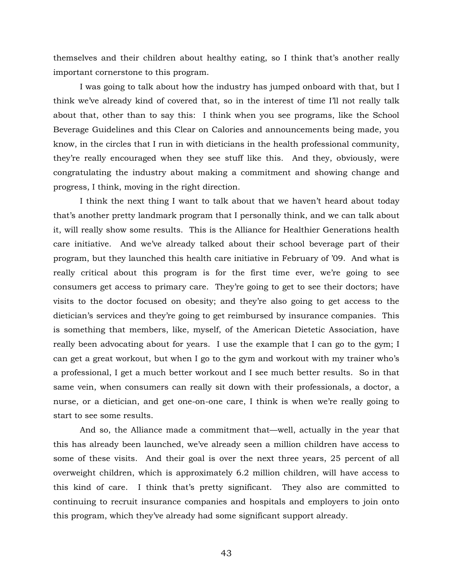themselves and their children about healthy eating, so I think that's another really important cornerstone to this program.

I was going to talk about how the industry has jumped onboard with that, but I think we've already kind of covered that, so in the interest of time I'll not really talk about that, other than to say this: I think when you see programs, like the School Beverage Guidelines and this Clear on Calories and announcements being made, you know, in the circles that I run in with dieticians in the health professional community, they're really encouraged when they see stuff like this. And they, obviously, were congratulating the industry about making a commitment and showing change and progress, I think, moving in the right direction.

I think the next thing I want to talk about that we haven't heard about today that's another pretty landmark program that I personally think, and we can talk about it, will really show some results. This is the Alliance for Healthier Generations health care initiative. And we've already talked about their school beverage part of their program, but they launched this health care initiative in February of '09. And what is really critical about this program is for the first time ever, we're going to see consumers get access to primary care. They're going to get to see their doctors; have visits to the doctor focused on obesity; and they're also going to get access to the dietician's services and they're going to get reimbursed by insurance companies. This is something that members, like, myself, of the American Dietetic Association, have really been advocating about for years. I use the example that I can go to the gym; I can get a great workout, but when I go to the gym and workout with my trainer who's a professional, I get a much better workout and I see much better results. So in that same vein, when consumers can really sit down with their professionals, a doctor, a nurse, or a dietician, and get one-on-one care, I think is when we're really going to start to see some results.

And so, the Alliance made a commitment that—well, actually in the year that this has already been launched, we've already seen a million children have access to some of these visits. And their goal is over the next three years, 25 percent of all overweight children, which is approximately 6.2 million children, will have access to this kind of care. I think that's pretty significant. They also are committed to continuing to recruit insurance companies and hospitals and employers to join onto this program, which they've already had some significant support already.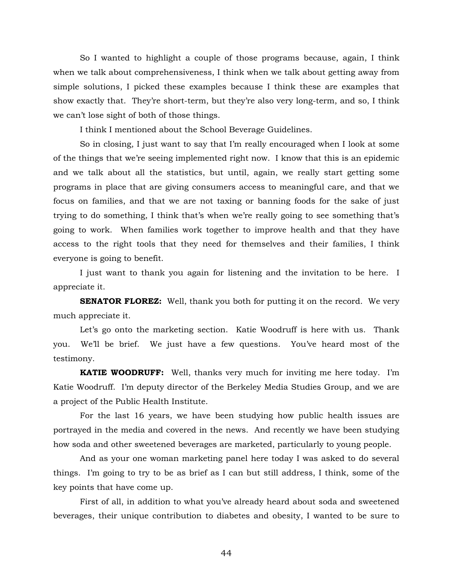So I wanted to highlight a couple of those programs because, again, I think when we talk about comprehensiveness, I think when we talk about getting away from simple solutions, I picked these examples because I think these are examples that show exactly that. They're short-term, but they're also very long-term, and so, I think we can't lose sight of both of those things.

I think I mentioned about the School Beverage Guidelines.

So in closing, I just want to say that I'm really encouraged when I look at some of the things that we're seeing implemented right now. I know that this is an epidemic and we talk about all the statistics, but until, again, we really start getting some programs in place that are giving consumers access to meaningful care, and that we focus on families, and that we are not taxing or banning foods for the sake of just trying to do something, I think that's when we're really going to see something that's going to work. When families work together to improve health and that they have access to the right tools that they need for themselves and their families, I think everyone is going to benefit.

I just want to thank you again for listening and the invitation to be here. I appreciate it.

**SENATOR FLOREZ:** Well, thank you both for putting it on the record. We very much appreciate it.

Let's go onto the marketing section. Katie Woodruff is here with us. Thank you. We'll be brief. We just have a few questions. You've heard most of the testimony.

**KATIE WOODRUFF:** Well, thanks very much for inviting me here today. I'm Katie Woodruff. I'm deputy director of the Berkeley Media Studies Group, and we are a project of the Public Health Institute.

For the last 16 years, we have been studying how public health issues are portrayed in the media and covered in the news. And recently we have been studying how soda and other sweetened beverages are marketed, particularly to young people.

And as your one woman marketing panel here today I was asked to do several things. I'm going to try to be as brief as I can but still address, I think, some of the key points that have come up.

First of all, in addition to what you've already heard about soda and sweetened beverages, their unique contribution to diabetes and obesity, I wanted to be sure to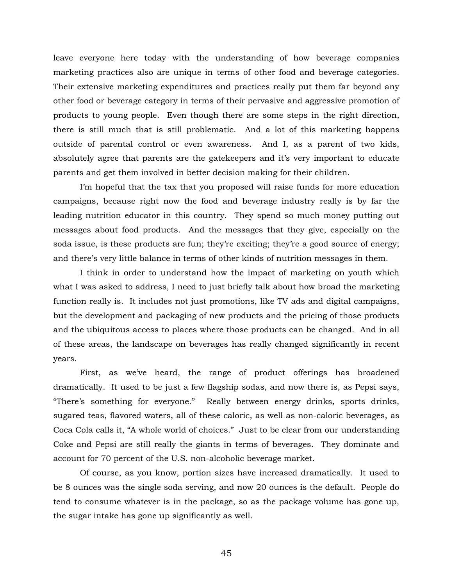leave everyone here today with the understanding of how beverage companies marketing practices also are unique in terms of other food and beverage categories. Their extensive marketing expenditures and practices really put them far beyond any other food or beverage category in terms of their pervasive and aggressive promotion of products to young people. Even though there are some steps in the right direction, there is still much that is still problematic. And a lot of this marketing happens outside of parental control or even awareness. And I, as a parent of two kids, absolutely agree that parents are the gatekeepers and it's very important to educate parents and get them involved in better decision making for their children.

I'm hopeful that the tax that you proposed will raise funds for more education campaigns, because right now the food and beverage industry really is by far the leading nutrition educator in this country. They spend so much money putting out messages about food products. And the messages that they give, especially on the soda issue, is these products are fun; they're exciting; they're a good source of energy; and there's very little balance in terms of other kinds of nutrition messages in them.

I think in order to understand how the impact of marketing on youth which what I was asked to address, I need to just briefly talk about how broad the marketing function really is. It includes not just promotions, like TV ads and digital campaigns, but the development and packaging of new products and the pricing of those products and the ubiquitous access to places where those products can be changed. And in all of these areas, the landscape on beverages has really changed significantly in recent years.

First, as we've heard, the range of product offerings has broadened dramatically. It used to be just a few flagship sodas, and now there is, as Pepsi says, "There's something for everyone." Really between energy drinks, sports drinks, sugared teas, flavored waters, all of these caloric, as well as non-caloric beverages, as Coca Cola calls it, "A whole world of choices." Just to be clear from our understanding Coke and Pepsi are still really the giants in terms of beverages. They dominate and account for 70 percent of the U.S. non-alcoholic beverage market.

Of course, as you know, portion sizes have increased dramatically. It used to be 8 ounces was the single soda serving, and now 20 ounces is the default. People do tend to consume whatever is in the package, so as the package volume has gone up, the sugar intake has gone up significantly as well.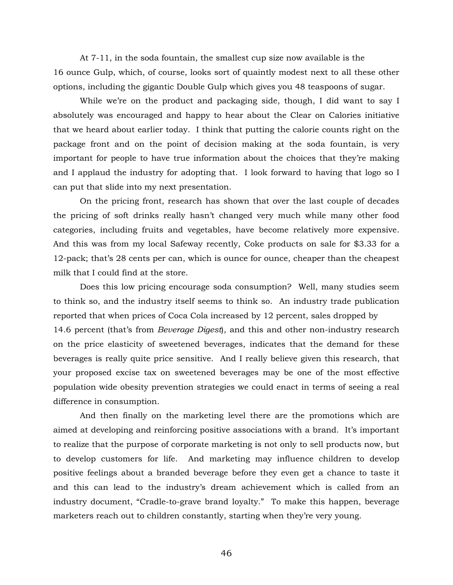At 7-11, in the soda fountain, the smallest cup size now available is the 16 ounce Gulp, which, of course, looks sort of quaintly modest next to all these other options, including the gigantic Double Gulp which gives you 48 teaspoons of sugar.

While we're on the product and packaging side, though, I did want to say I absolutely was encouraged and happy to hear about the Clear on Calories initiative that we heard about earlier today. I think that putting the calorie counts right on the package front and on the point of decision making at the soda fountain, is very important for people to have true information about the choices that they're making and I applaud the industry for adopting that. I look forward to having that logo so I can put that slide into my next presentation.

On the pricing front, research has shown that over the last couple of decades the pricing of soft drinks really hasn't changed very much while many other food categories, including fruits and vegetables, have become relatively more expensive. And this was from my local Safeway recently, Coke products on sale for \$3.33 for a 12-pack; that's 28 cents per can, which is ounce for ounce, cheaper than the cheapest milk that I could find at the store.

Does this low pricing encourage soda consumption? Well, many studies seem to think so, and the industry itself seems to think so. An industry trade publication reported that when prices of Coca Cola increased by 12 percent, sales dropped by 14.6 percent (that's from *Beverage Digest*), and this and other non-industry research on the price elasticity of sweetened beverages, indicates that the demand for these beverages is really quite price sensitive. And I really believe given this research, that your proposed excise tax on sweetened beverages may be one of the most effective population wide obesity prevention strategies we could enact in terms of seeing a real difference in consumption.

And then finally on the marketing level there are the promotions which are aimed at developing and reinforcing positive associations with a brand. It's important to realize that the purpose of corporate marketing is not only to sell products now, but to develop customers for life. And marketing may influence children to develop positive feelings about a branded beverage before they even get a chance to taste it and this can lead to the industry's dream achievement which is called from an industry document, "Cradle-to-grave brand loyalty." To make this happen, beverage marketers reach out to children constantly, starting when they're very young.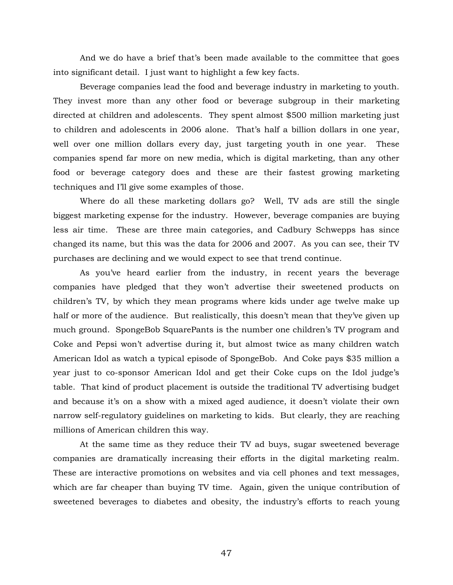And we do have a brief that's been made available to the committee that goes into significant detail. I just want to highlight a few key facts.

Beverage companies lead the food and beverage industry in marketing to youth. They invest more than any other food or beverage subgroup in their marketing directed at children and adolescents. They spent almost \$500 million marketing just to children and adolescents in 2006 alone. That's half a billion dollars in one year, well over one million dollars every day, just targeting youth in one year. These companies spend far more on new media, which is digital marketing, than any other food or beverage category does and these are their fastest growing marketing techniques and I'll give some examples of those.

Where do all these marketing dollars go? Well, TV ads are still the single biggest marketing expense for the industry. However, beverage companies are buying less air time. These are three main categories, and Cadbury Schwepps has since changed its name, but this was the data for 2006 and 2007. As you can see, their TV purchases are declining and we would expect to see that trend continue.

As you've heard earlier from the industry, in recent years the beverage companies have pledged that they won't advertise their sweetened products on children's TV, by which they mean programs where kids under age twelve make up half or more of the audience. But realistically, this doesn't mean that they've given up much ground. SpongeBob SquarePants is the number one children's TV program and Coke and Pepsi won't advertise during it, but almost twice as many children watch American Idol as watch a typical episode of SpongeBob. And Coke pays \$35 million a year just to co-sponsor American Idol and get their Coke cups on the Idol judge's table. That kind of product placement is outside the traditional TV advertising budget and because it's on a show with a mixed aged audience, it doesn't violate their own narrow self-regulatory guidelines on marketing to kids. But clearly, they are reaching millions of American children this way.

At the same time as they reduce their TV ad buys, sugar sweetened beverage companies are dramatically increasing their efforts in the digital marketing realm. These are interactive promotions on websites and via cell phones and text messages, which are far cheaper than buying TV time. Again, given the unique contribution of sweetened beverages to diabetes and obesity, the industry's efforts to reach young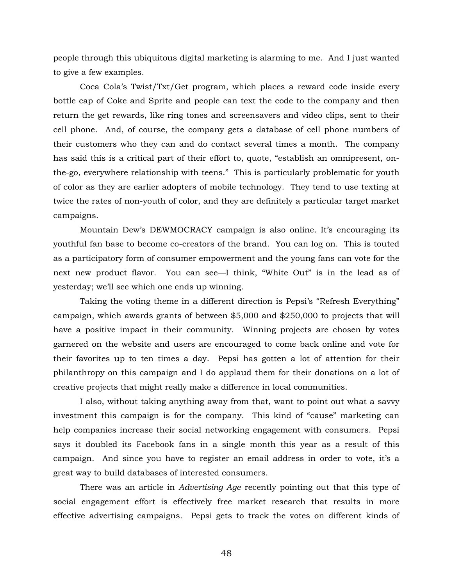people through this ubiquitous digital marketing is alarming to me. And I just wanted to give a few examples.

Coca Cola's Twist/Txt/Get program, which places a reward code inside every bottle cap of Coke and Sprite and people can text the code to the company and then return the get rewards, like ring tones and screensavers and video clips, sent to their cell phone. And, of course, the company gets a database of cell phone numbers of their customers who they can and do contact several times a month. The company has said this is a critical part of their effort to, quote, "establish an omnipresent, onthe-go, everywhere relationship with teens." This is particularly problematic for youth of color as they are earlier adopters of mobile technology. They tend to use texting at twice the rates of non-youth of color, and they are definitely a particular target market campaigns.

Mountain Dew's DEWMOCRACY campaign is also online. It's encouraging its youthful fan base to become co-creators of the brand. You can log on. This is touted as a participatory form of consumer empowerment and the young fans can vote for the next new product flavor. You can see—I think, "White Out" is in the lead as of yesterday; we'll see which one ends up winning.

Taking the voting theme in a different direction is Pepsi's "Refresh Everything" campaign, which awards grants of between \$5,000 and \$250,000 to projects that will have a positive impact in their community. Winning projects are chosen by votes garnered on the website and users are encouraged to come back online and vote for their favorites up to ten times a day. Pepsi has gotten a lot of attention for their philanthropy on this campaign and I do applaud them for their donations on a lot of creative projects that might really make a difference in local communities.

I also, without taking anything away from that, want to point out what a savvy investment this campaign is for the company. This kind of "cause" marketing can help companies increase their social networking engagement with consumers. Pepsi says it doubled its Facebook fans in a single month this year as a result of this campaign. And since you have to register an email address in order to vote, it's a great way to build databases of interested consumers.

There was an article in *Advertising Age* recently pointing out that this type of social engagement effort is effectively free market research that results in more effective advertising campaigns. Pepsi gets to track the votes on different kinds of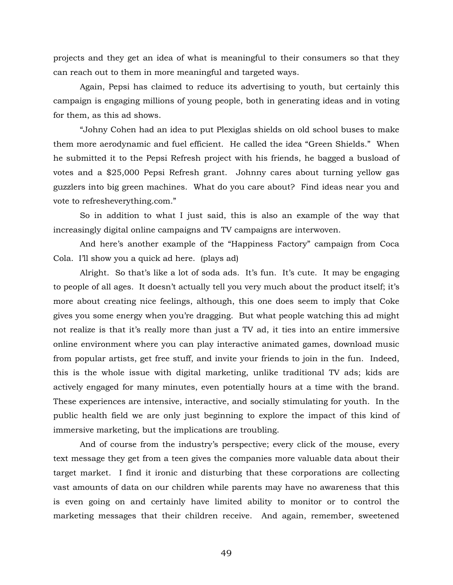projects and they get an idea of what is meaningful to their consumers so that they can reach out to them in more meaningful and targeted ways.

Again, Pepsi has claimed to reduce its advertising to youth, but certainly this campaign is engaging millions of young people, both in generating ideas and in voting for them, as this ad shows.

"Johny Cohen had an idea to put Plexiglas shields on old school buses to make them more aerodynamic and fuel efficient. He called the idea "Green Shields." When he submitted it to the Pepsi Refresh project with his friends, he bagged a busload of votes and a \$25,000 Pepsi Refresh grant. Johnny cares about turning yellow gas guzzlers into big green machines. What do you care about? Find ideas near you and vote to refresheverything.com."

So in addition to what I just said, this is also an example of the way that increasingly digital online campaigns and TV campaigns are interwoven.

And here's another example of the "Happiness Factory" campaign from Coca Cola. I'll show you a quick ad here. (plays ad)

Alright. So that's like a lot of soda ads. It's fun. It's cute. It may be engaging to people of all ages. It doesn't actually tell you very much about the product itself; it's more about creating nice feelings, although, this one does seem to imply that Coke gives you some energy when you're dragging. But what people watching this ad might not realize is that it's really more than just a TV ad, it ties into an entire immersive online environment where you can play interactive animated games, download music from popular artists, get free stuff, and invite your friends to join in the fun. Indeed, this is the whole issue with digital marketing, unlike traditional TV ads; kids are actively engaged for many minutes, even potentially hours at a time with the brand. These experiences are intensive, interactive, and socially stimulating for youth. In the public health field we are only just beginning to explore the impact of this kind of immersive marketing, but the implications are troubling.

And of course from the industry's perspective; every click of the mouse, every text message they get from a teen gives the companies more valuable data about their target market. I find it ironic and disturbing that these corporations are collecting vast amounts of data on our children while parents may have no awareness that this is even going on and certainly have limited ability to monitor or to control the marketing messages that their children receive. And again, remember, sweetened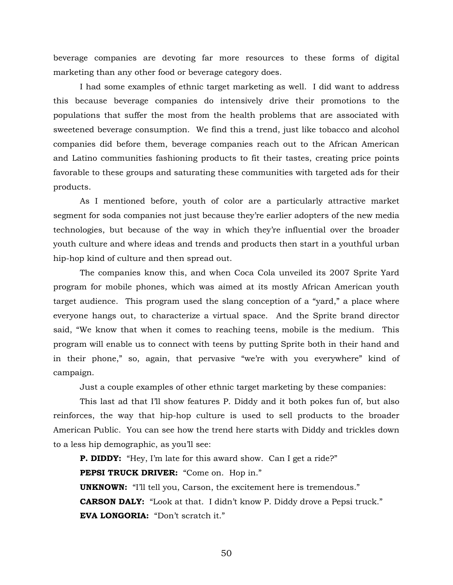beverage companies are devoting far more resources to these forms of digital marketing than any other food or beverage category does.

I had some examples of ethnic target marketing as well. I did want to address this because beverage companies do intensively drive their promotions to the populations that suffer the most from the health problems that are associated with sweetened beverage consumption. We find this a trend, just like tobacco and alcohol companies did before them, beverage companies reach out to the African American and Latino communities fashioning products to fit their tastes, creating price points favorable to these groups and saturating these communities with targeted ads for their products.

As I mentioned before, youth of color are a particularly attractive market segment for soda companies not just because they're earlier adopters of the new media technologies, but because of the way in which they're influential over the broader youth culture and where ideas and trends and products then start in a youthful urban hip-hop kind of culture and then spread out.

The companies know this, and when Coca Cola unveiled its 2007 Sprite Yard program for mobile phones, which was aimed at its mostly African American youth target audience. This program used the slang conception of a "yard," a place where everyone hangs out, to characterize a virtual space. And the Sprite brand director said, "We know that when it comes to reaching teens, mobile is the medium. This program will enable us to connect with teens by putting Sprite both in their hand and in their phone," so, again, that pervasive "we're with you everywhere" kind of campaign.

Just a couple examples of other ethnic target marketing by these companies:

This last ad that I'll show features P. Diddy and it both pokes fun of, but also reinforces, the way that hip-hop culture is used to sell products to the broader American Public. You can see how the trend here starts with Diddy and trickles down to a less hip demographic, as you'll see:

**P. DIDDY:** "Hey, I'm late for this award show. Can I get a ride?" **PEPSI TRUCK DRIVER:** "Come on. Hop in." **UNKNOWN:** "I'll tell you, Carson, the excitement here is tremendous." **CARSON DALY:** "Look at that. I didn't know P. Diddy drove a Pepsi truck." **EVA LONGORIA:** "Don't scratch it."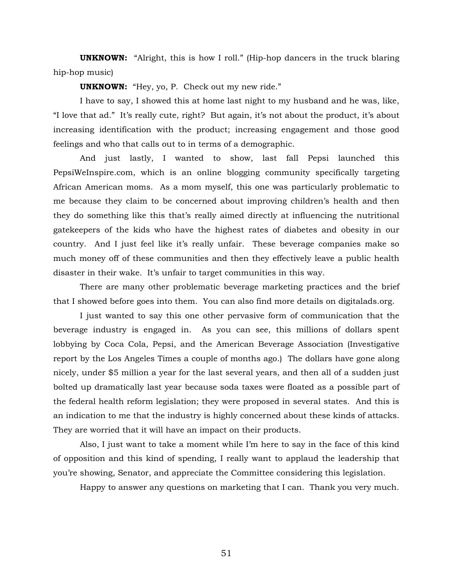**UNKNOWN:** "Alright, this is how I roll." (Hip-hop dancers in the truck blaring hip-hop music)

**UNKNOWN:** "Hey, yo, P. Check out my new ride."

I have to say, I showed this at home last night to my husband and he was, like, "I love that ad." It's really cute, right? But again, it's not about the product, it's about increasing identification with the product; increasing engagement and those good feelings and who that calls out to in terms of a demographic.

And just lastly, I wanted to show, last fall Pepsi launched this PepsiWeInspire.com, which is an online blogging community specifically targeting African American moms. As a mom myself, this one was particularly problematic to me because they claim to be concerned about improving children's health and then they do something like this that's really aimed directly at influencing the nutritional gatekeepers of the kids who have the highest rates of diabetes and obesity in our country. And I just feel like it's really unfair. These beverage companies make so much money off of these communities and then they effectively leave a public health disaster in their wake. It's unfair to target communities in this way.

There are many other problematic beverage marketing practices and the brief that I showed before goes into them. You can also find more details on digitalads.org.

I just wanted to say this one other pervasive form of communication that the beverage industry is engaged in. As you can see, this millions of dollars spent lobbying by Coca Cola, Pepsi, and the American Beverage Association (Investigative report by the Los Angeles Times a couple of months ago.) The dollars have gone along nicely, under \$5 million a year for the last several years, and then all of a sudden just bolted up dramatically last year because soda taxes were floated as a possible part of the federal health reform legislation; they were proposed in several states. And this is an indication to me that the industry is highly concerned about these kinds of attacks. They are worried that it will have an impact on their products.

Also, I just want to take a moment while I'm here to say in the face of this kind of opposition and this kind of spending, I really want to applaud the leadership that you're showing, Senator, and appreciate the Committee considering this legislation.

Happy to answer any questions on marketing that I can. Thank you very much.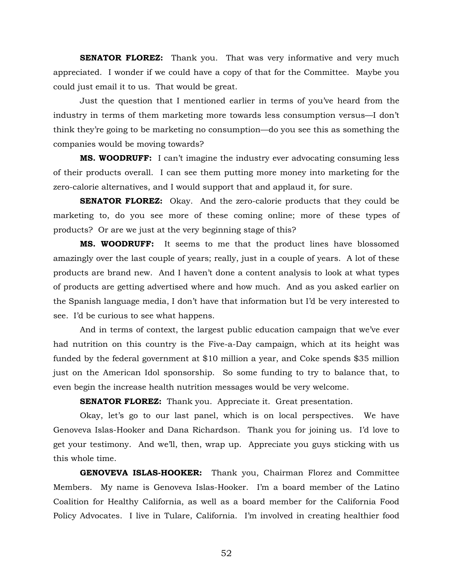**SENATOR FLOREZ:** Thank you. That was very informative and very much appreciated. I wonder if we could have a copy of that for the Committee. Maybe you could just email it to us. That would be great.

Just the question that I mentioned earlier in terms of you've heard from the industry in terms of them marketing more towards less consumption versus—I don't think they're going to be marketing no consumption—do you see this as something the companies would be moving towards?

**MS. WOODRUFF:** I can't imagine the industry ever advocating consuming less of their products overall. I can see them putting more money into marketing for the zero-calorie alternatives, and I would support that and applaud it, for sure.

**SENATOR FLOREZ:** Okay. And the zero-calorie products that they could be marketing to, do you see more of these coming online; more of these types of products? Or are we just at the very beginning stage of this?

**MS. WOODRUFF:** It seems to me that the product lines have blossomed amazingly over the last couple of years; really, just in a couple of years. A lot of these products are brand new. And I haven't done a content analysis to look at what types of products are getting advertised where and how much. And as you asked earlier on the Spanish language media, I don't have that information but I'd be very interested to see. I'd be curious to see what happens.

And in terms of context, the largest public education campaign that we've ever had nutrition on this country is the Five-a-Day campaign, which at its height was funded by the federal government at \$10 million a year, and Coke spends \$35 million just on the American Idol sponsorship. So some funding to try to balance that, to even begin the increase health nutrition messages would be very welcome.

**SENATOR FLOREZ:** Thank you. Appreciate it. Great presentation.

Okay, let's go to our last panel, which is on local perspectives. We have Genoveva Islas-Hooker and Dana Richardson. Thank you for joining us. I'd love to get your testimony. And we'll, then, wrap up. Appreciate you guys sticking with us this whole time.

**GENOVEVA ISLAS-HOOKER:** Thank you, Chairman Florez and Committee Members. My name is Genoveva Islas-Hooker. I'm a board member of the Latino Coalition for Healthy California, as well as a board member for the California Food Policy Advocates. I live in Tulare, California. I'm involved in creating healthier food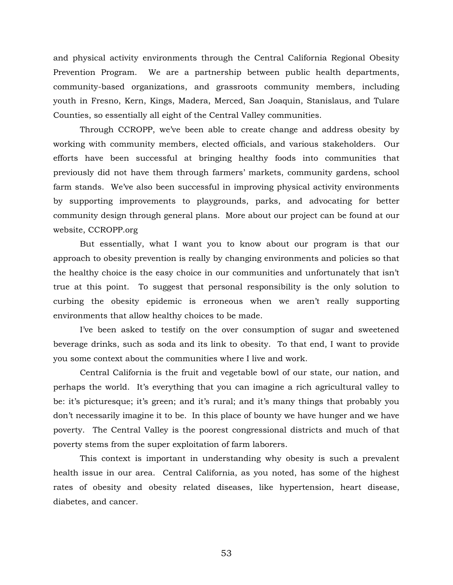and physical activity environments through the Central California Regional Obesity Prevention Program. We are a partnership between public health departments, community-based organizations, and grassroots community members, including youth in Fresno, Kern, Kings, Madera, Merced, San Joaquin, Stanislaus, and Tulare Counties, so essentially all eight of the Central Valley communities.

Through CCROPP, we've been able to create change and address obesity by working with community members, elected officials, and various stakeholders. Our efforts have been successful at bringing healthy foods into communities that previously did not have them through farmers' markets, community gardens, school farm stands. We've also been successful in improving physical activity environments by supporting improvements to playgrounds, parks, and advocating for better community design through general plans. More about our project can be found at our website, CCROPP.org

But essentially, what I want you to know about our program is that our approach to obesity prevention is really by changing environments and policies so that the healthy choice is the easy choice in our communities and unfortunately that isn't true at this point. To suggest that personal responsibility is the only solution to curbing the obesity epidemic is erroneous when we aren't really supporting environments that allow healthy choices to be made.

I've been asked to testify on the over consumption of sugar and sweetened beverage drinks, such as soda and its link to obesity. To that end, I want to provide you some context about the communities where I live and work.

Central California is the fruit and vegetable bowl of our state, our nation, and perhaps the world. It's everything that you can imagine a rich agricultural valley to be: it's picturesque; it's green; and it's rural; and it's many things that probably you don't necessarily imagine it to be. In this place of bounty we have hunger and we have poverty. The Central Valley is the poorest congressional districts and much of that poverty stems from the super exploitation of farm laborers.

This context is important in understanding why obesity is such a prevalent health issue in our area. Central California, as you noted, has some of the highest rates of obesity and obesity related diseases, like hypertension, heart disease, diabetes, and cancer.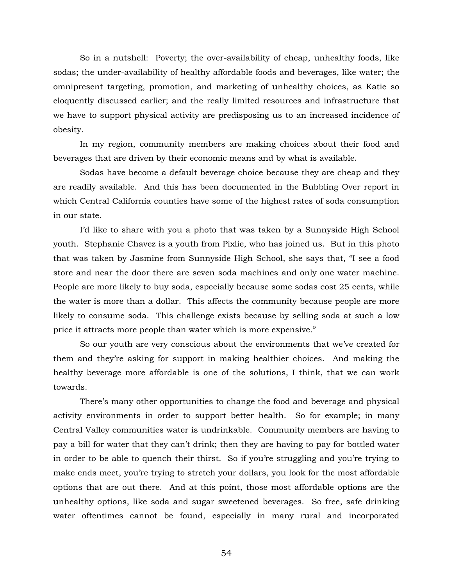So in a nutshell: Poverty; the over-availability of cheap, unhealthy foods, like sodas; the under-availability of healthy affordable foods and beverages, like water; the omnipresent targeting, promotion, and marketing of unhealthy choices, as Katie so eloquently discussed earlier; and the really limited resources and infrastructure that we have to support physical activity are predisposing us to an increased incidence of obesity.

In my region, community members are making choices about their food and beverages that are driven by their economic means and by what is available.

Sodas have become a default beverage choice because they are cheap and they are readily available. And this has been documented in the Bubbling Over report in which Central California counties have some of the highest rates of soda consumption in our state.

I'd like to share with you a photo that was taken by a Sunnyside High School youth. Stephanie Chavez is a youth from Pixlie, who has joined us. But in this photo that was taken by Jasmine from Sunnyside High School, she says that, "I see a food store and near the door there are seven soda machines and only one water machine. People are more likely to buy soda, especially because some sodas cost 25 cents, while the water is more than a dollar. This affects the community because people are more likely to consume soda. This challenge exists because by selling soda at such a low price it attracts more people than water which is more expensive."

So our youth are very conscious about the environments that we've created for them and they're asking for support in making healthier choices. And making the healthy beverage more affordable is one of the solutions, I think, that we can work towards.

There's many other opportunities to change the food and beverage and physical activity environments in order to support better health. So for example; in many Central Valley communities water is undrinkable. Community members are having to pay a bill for water that they can't drink; then they are having to pay for bottled water in order to be able to quench their thirst. So if you're struggling and you're trying to make ends meet, you're trying to stretch your dollars, you look for the most affordable options that are out there. And at this point, those most affordable options are the unhealthy options, like soda and sugar sweetened beverages. So free, safe drinking water oftentimes cannot be found, especially in many rural and incorporated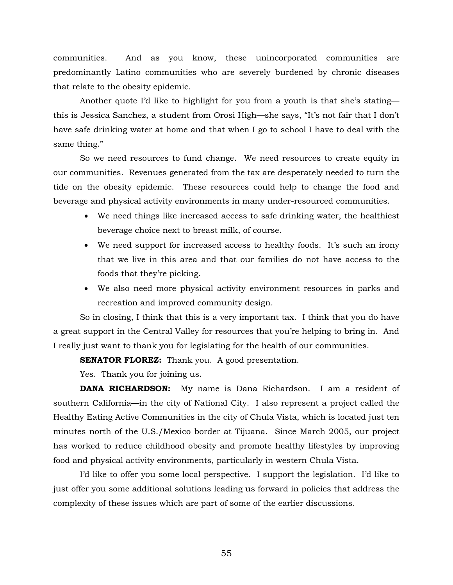communities. And as you know, these unincorporated communities are predominantly Latino communities who are severely burdened by chronic diseases that relate to the obesity epidemic.

Another quote I'd like to highlight for you from a youth is that she's stating this is Jessica Sanchez, a student from Orosi High—she says, "It's not fair that I don't have safe drinking water at home and that when I go to school I have to deal with the same thing."

So we need resources to fund change. We need resources to create equity in our communities. Revenues generated from the tax are desperately needed to turn the tide on the obesity epidemic. These resources could help to change the food and beverage and physical activity environments in many under-resourced communities.

- We need things like increased access to safe drinking water, the healthiest beverage choice next to breast milk, of course.
- We need support for increased access to healthy foods. It's such an irony that we live in this area and that our families do not have access to the foods that they're picking.
- We also need more physical activity environment resources in parks and recreation and improved community design.

So in closing, I think that this is a very important tax. I think that you do have a great support in the Central Valley for resources that you're helping to bring in. And I really just want to thank you for legislating for the health of our communities.

**SENATOR FLOREZ:** Thank you. A good presentation.

Yes. Thank you for joining us.

**DANA RICHARDSON:** My name is Dana Richardson. I am a resident of southern California—in the city of National City. I also represent a project called the Healthy Eating Active Communities in the city of Chula Vista, which is located just ten minutes north of the U.S./Mexico border at Tijuana. Since March 2005, our project has worked to reduce childhood obesity and promote healthy lifestyles by improving food and physical activity environments, particularly in western Chula Vista.

I'd like to offer you some local perspective. I support the legislation. I'd like to just offer you some additional solutions leading us forward in policies that address the complexity of these issues which are part of some of the earlier discussions.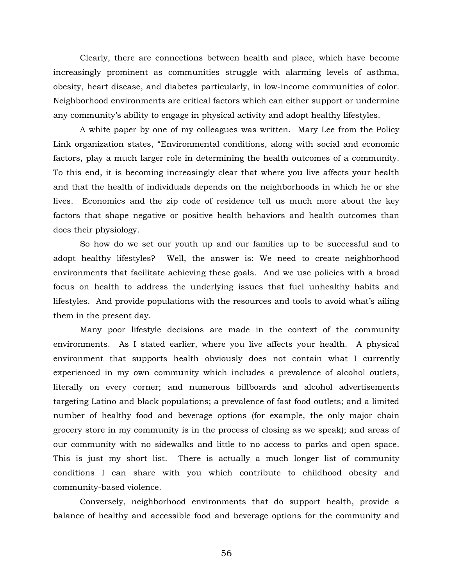Clearly, there are connections between health and place, which have become increasingly prominent as communities struggle with alarming levels of asthma, obesity, heart disease, and diabetes particularly, in low-income communities of color. Neighborhood environments are critical factors which can either support or undermine any community's ability to engage in physical activity and adopt healthy lifestyles.

A white paper by one of my colleagues was written. Mary Lee from the Policy Link organization states, "Environmental conditions, along with social and economic factors, play a much larger role in determining the health outcomes of a community. To this end, it is becoming increasingly clear that where you live affects your health and that the health of individuals depends on the neighborhoods in which he or she lives. Economics and the zip code of residence tell us much more about the key factors that shape negative or positive health behaviors and health outcomes than does their physiology.

So how do we set our youth up and our families up to be successful and to adopt healthy lifestyles? Well, the answer is: We need to create neighborhood environments that facilitate achieving these goals. And we use policies with a broad focus on health to address the underlying issues that fuel unhealthy habits and lifestyles. And provide populations with the resources and tools to avoid what's ailing them in the present day.

Many poor lifestyle decisions are made in the context of the community environments. As I stated earlier, where you live affects your health. A physical environment that supports health obviously does not contain what I currently experienced in my own community which includes a prevalence of alcohol outlets, literally on every corner; and numerous billboards and alcohol advertisements targeting Latino and black populations; a prevalence of fast food outlets; and a limited number of healthy food and beverage options (for example, the only major chain grocery store in my community is in the process of closing as we speak); and areas of our community with no sidewalks and little to no access to parks and open space. This is just my short list. There is actually a much longer list of community conditions I can share with you which contribute to childhood obesity and community-based violence.

Conversely, neighborhood environments that do support health, provide a balance of healthy and accessible food and beverage options for the community and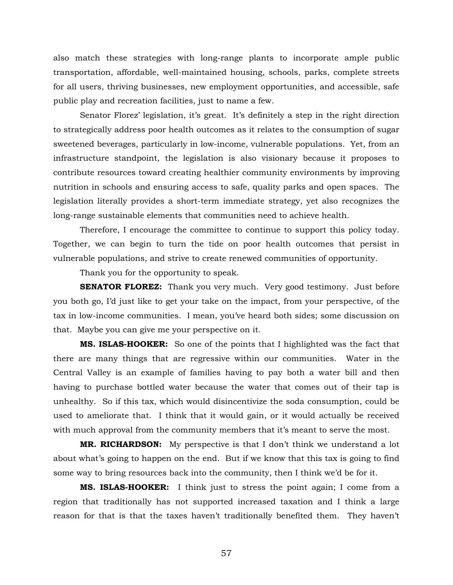also match these strategies with long-range plants to incorporate ample public transportation, affordable, well-maintained housing, schools, parks, complete streets for all users, thriving businesses, new employment opportunities, and accessible, safe public play and recreation facilities, just to name a few.

Senator Florez' legislation, it's great. It's definitely a step in the right direction to strategically address poor health outcomes as it relates to the consumption of sugar sweetened beverages, particularly in low-income, vulnerable populations. Yet, from an infrastructure standpoint, the legislation is also visionary because it proposes to contribute resources toward creating healthier community environments by improving nutrition in schools and ensuring access to safe, quality parks and open spaces. The legislation literally provides a short-term immediate strategy, yet also recognizes the long-range sustainable elements that communities need to achieve health.

Therefore, I encourage the committee to continue to support this policy today. Together, we can begin to turn the tide on poor health outcomes that persist in vulnerable populations, and strive to create renewed communities of opportunity.

Thank you for the opportunity to speak.

**SENATOR FLOREZ:** Thank you very much. Very good testimony. Just before you both go, I'd just like to get your take on the impact, from your perspective, of the tax in low-income communities. I mean, you've heard both sides; some discussion on that. Maybe you can give me your perspective on it.

**MS. ISLAS-HOOKER:** So one of the points that I highlighted was the fact that there are many things that are regressive within our communities. Water in the Central Valley is an example of families having to pay both a water bill and then having to purchase bottled water because the water that comes out of their tap is unhealthy. So if this tax, which would disincentivize the soda consumption, could be used to ameliorate that. I think that it would gain, or it would actually be received with much approval from the community members that it's meant to serve the most.

**MR. RICHARDSON:** My perspective is that I don't think we understand a lot about what's going to happen on the end. But if we know that this tax is going to find some way to bring resources back into the community, then I think we'd be for it.

**MS. ISLAS-HOOKER:** I think just to stress the point again; I come from a region that traditionally has not supported increased taxation and I think a large reason for that is that the taxes haven't traditionally benefited them. They haven't